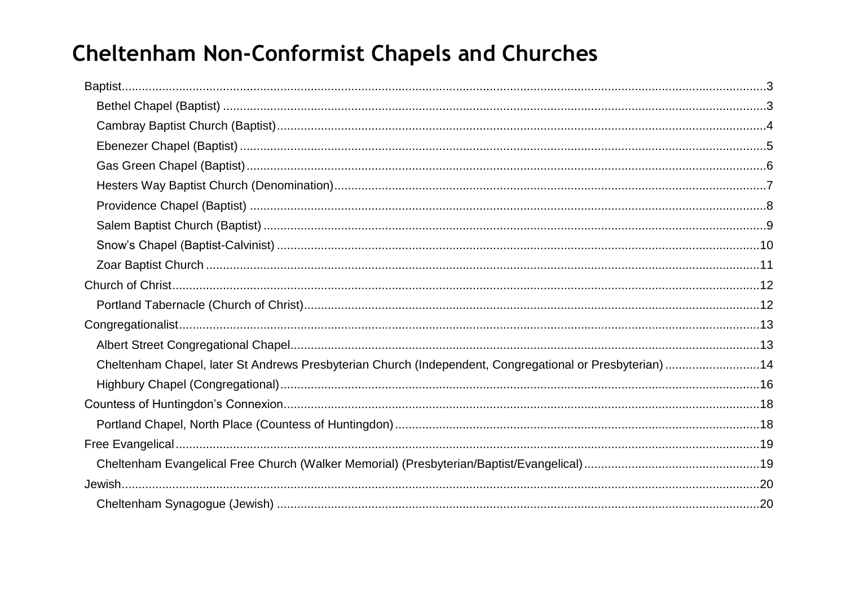# **Cheltenham Non-Conformist Chapels and Churches**

| Cheltenham Chapel, later St Andrews Presbyterian Church (Independent, Congregational or Presbyterian) 14 |  |
|----------------------------------------------------------------------------------------------------------|--|
|                                                                                                          |  |
|                                                                                                          |  |
|                                                                                                          |  |
|                                                                                                          |  |
|                                                                                                          |  |
|                                                                                                          |  |
|                                                                                                          |  |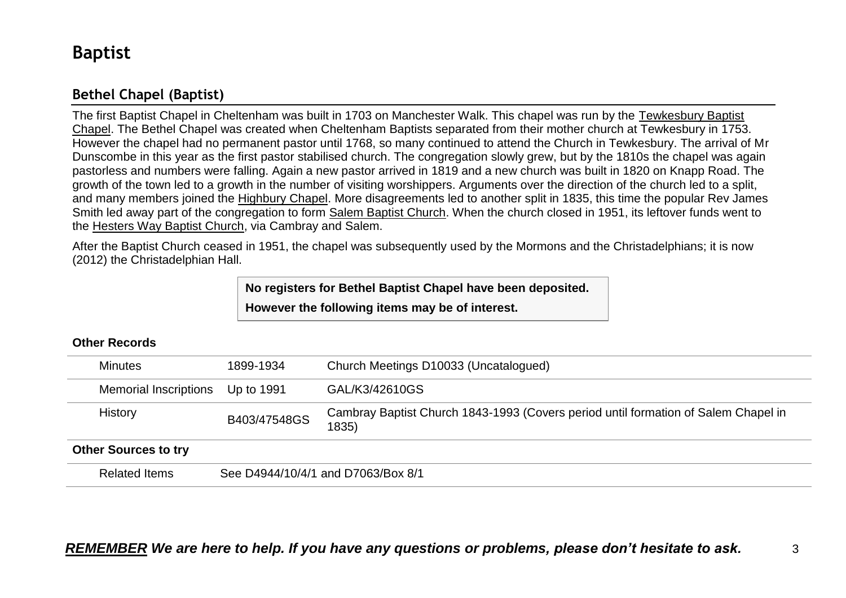## <span id="page-2-0"></span>**Baptist**

## <span id="page-2-1"></span>**Bethel Chapel (Baptist)**

The first Baptist Chapel in Cheltenham was built in 1703 on Manchester Walk. This chapel was run by the Tewkesbury Baptist Chapel. The Bethel Chapel was created when Cheltenham Baptists separated from their mother church at Tewkesbury in 1753. However the chapel had no permanent pastor until 1768, so many continued to attend the Church in Tewkesbury. The arrival of Mr Dunscombe in this year as the first pastor stabilised church. The congregation slowly grew, but by the 1810s the chapel was again pastorless and numbers were falling. Again a new pastor arrived in 1819 and a new church was built in 1820 on Knapp Road. The growth of the town led to a growth in the number of visiting worshippers. Arguments over the direction of the church led to a split, and many members joined the Highbury Chapel. More disagreements led to another split in 1835, this time the popular Rev James Smith led away part of the congregation to form Salem Baptist Church. When the church closed in 1951, its leftover funds went to the Hesters Way Baptist Church, via Cambray and Salem.

After the Baptist Church ceased in 1951, the chapel was subsequently used by the Mormons and the Christadelphians; it is now (2012) the Christadelphian Hall.

> **No registers for Bethel Baptist Chapel have been deposited. However the following items may be of interest.**

#### **Other Records**

| <b>Minutes</b>               | 1899-1934    | Church Meetings D10033 (Uncatalogued)                                                       |  |  |
|------------------------------|--------------|---------------------------------------------------------------------------------------------|--|--|
| <b>Memorial Inscriptions</b> | Up to 1991   | GAL/K3/42610GS                                                                              |  |  |
| History                      | B403/47548GS | Cambray Baptist Church 1843-1993 (Covers period until formation of Salem Chapel in<br>1835) |  |  |
| <b>Other Sources to try</b>  |              |                                                                                             |  |  |
| <b>Related Items</b>         |              | See D4944/10/4/1 and D7063/Box 8/1                                                          |  |  |

## *REMEMBER We are here to help. If you have any questions or problems, please don't hesitate to ask.* 3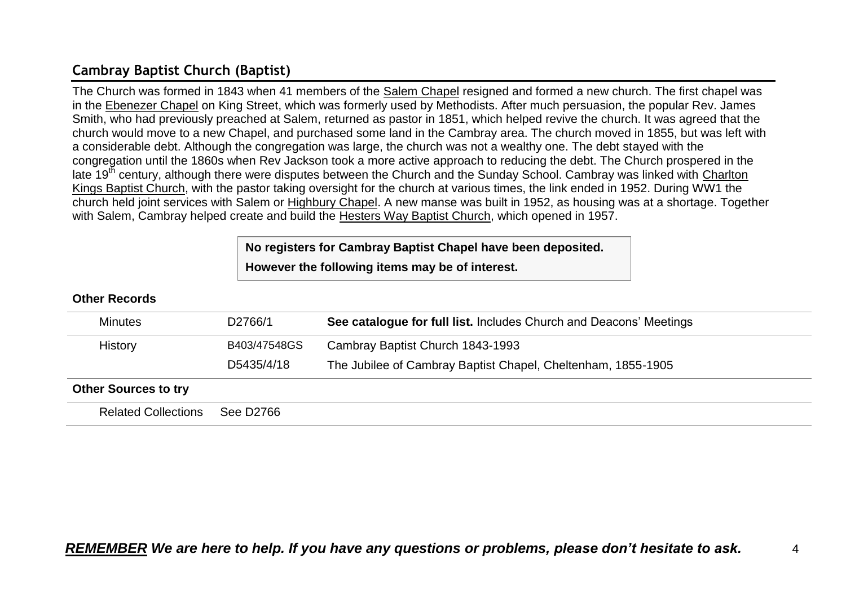## <span id="page-3-0"></span>**Cambray Baptist Church (Baptist)**

The Church was formed in 1843 when 41 members of the Salem Chapel resigned and formed a new church. The first chapel was in the Ebenezer Chapel on King Street, which was formerly used by Methodists. After much persuasion, the popular Rev. James Smith, who had previously preached at Salem, returned as pastor in 1851, which helped revive the church. It was agreed that the church would move to a new Chapel, and purchased some land in the Cambray area. The church moved in 1855, but was left with a considerable debt. Although the congregation was large, the church was not a wealthy one. The debt stayed with the congregation until the 1860s when Rev Jackson took a more active approach to reducing the debt. The Church prospered in the late 19<sup>th</sup> century, although there were disputes between the Church and the Sunday School. Cambray was linked with Charlton Kings Baptist Church, with the pastor taking oversight for the church at various times, the link ended in 1952. During WW1 the church held joint services with Salem or Highbury Chapel. A new manse was built in 1952, as housing was at a shortage. Together with Salem, Cambray helped create and build the Hesters Way Baptist Church, which opened in 1957.

## **No registers for Cambray Baptist Chapel have been deposited. However the following items may be of interest.**

| <b>Minutes</b>              | D2766/1      | See catalogue for full list. Includes Church and Deacons' Meetings |
|-----------------------------|--------------|--------------------------------------------------------------------|
| History                     | B403/47548GS | Cambray Baptist Church 1843-1993                                   |
|                             | D5435/4/18   | The Jubilee of Cambray Baptist Chapel, Cheltenham, 1855-1905       |
| <b>Other Sources to try</b> |              |                                                                    |
| <b>Related Collections</b>  | See D2766    |                                                                    |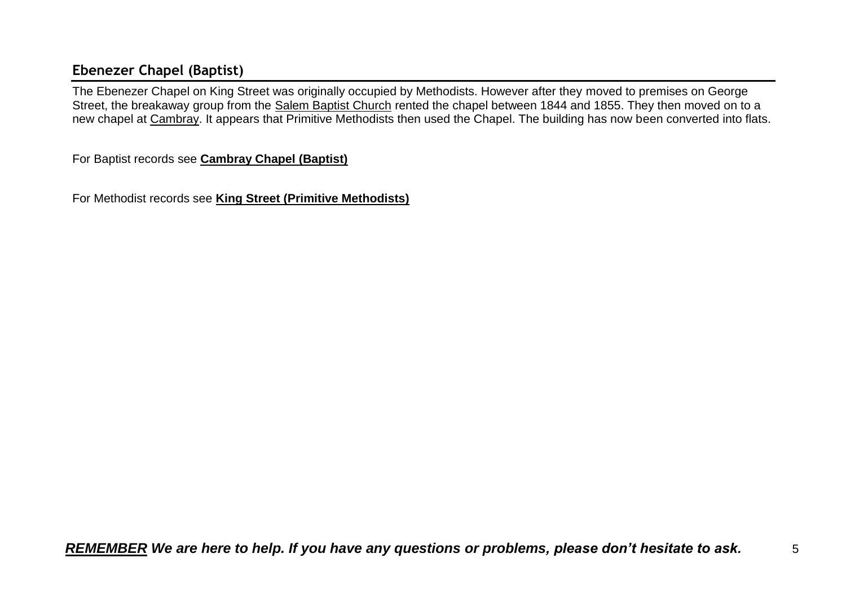## <span id="page-4-0"></span>**Ebenezer Chapel (Baptist)**

The Ebenezer Chapel on King Street was originally occupied by Methodists. However after they moved to premises on George Street, the breakaway group from the Salem Baptist Church rented the chapel between 1844 and 1855. They then moved on to a new chapel at Cambray. It appears that Primitive Methodists then used the Chapel. The building has now been converted into flats.

For Baptist records see **Cambray Chapel (Baptist)**

For Methodist records see **King Street (Primitive Methodists)**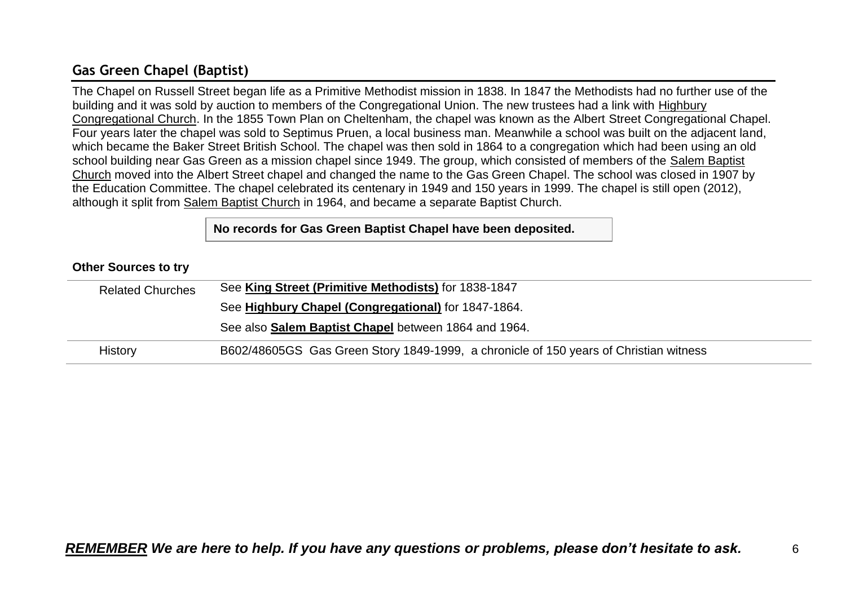## <span id="page-5-0"></span>**Gas Green Chapel (Baptist)**

The Chapel on Russell Street began life as a Primitive Methodist mission in 1838. In 1847 the Methodists had no further use of the building and it was sold by auction to members of the Congregational Union. The new trustees had a link with Highbury Congregational Church. In the 1855 Town Plan on Cheltenham, the chapel was known as the Albert Street Congregational Chapel. Four years later the chapel was sold to Septimus Pruen, a local business man. Meanwhile a school was built on the adjacent land, which became the Baker Street British School. The chapel was then sold in 1864 to a congregation which had been using an old school building near Gas Green as a mission chapel since 1949. The group, which consisted of members of the Salem Baptist Church moved into the Albert Street chapel and changed the name to the Gas Green Chapel. The school was closed in 1907 by the Education Committee. The chapel celebrated its centenary in 1949 and 150 years in 1999. The chapel is still open (2012), although it split from Salem Baptist Church in 1964, and became a separate Baptist Church.

**No records for Gas Green Baptist Chapel have been deposited.**

#### **Other Sources to try**

| <b>Related Churches</b> | See King Street (Primitive Methodists) for 1838-1847                                  |
|-------------------------|---------------------------------------------------------------------------------------|
|                         | See Highbury Chapel (Congregational) for 1847-1864.                                   |
|                         | See also Salem Baptist Chapel between 1864 and 1964.                                  |
| History                 | B602/48605GS Gas Green Story 1849-1999, a chronicle of 150 years of Christian witness |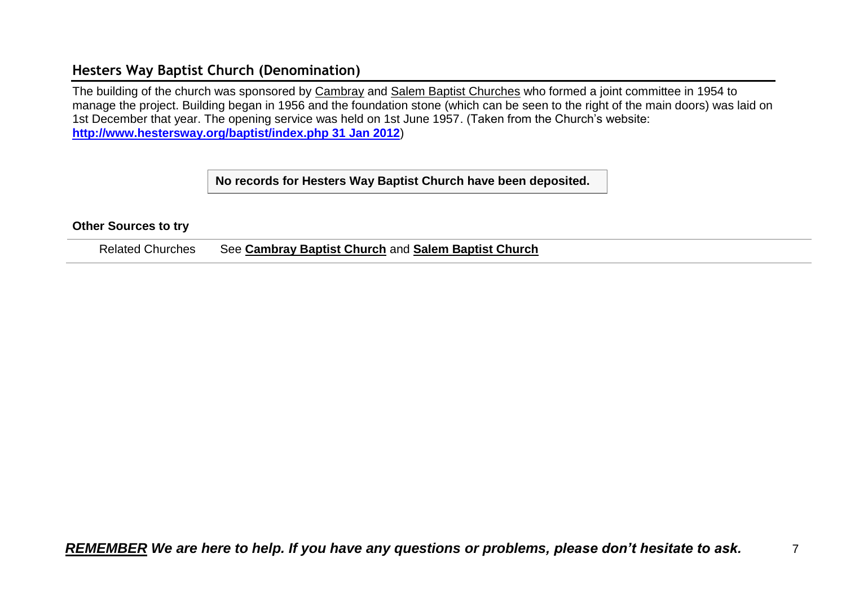### <span id="page-6-0"></span>**Hesters Way Baptist Church (Denomination)**

The building of the church was sponsored by Cambray and Salem Baptist Churches who formed a joint committee in 1954 to manage the project. Building began in 1956 and the foundation stone (which can be seen to the right of the main doors) was laid on 1st December that year. The opening service was held on 1st June 1957. (Taken from the Church's website: **[http://www.hestersway.org/baptist/index.php 31 Jan 2012](http://www.hestersway.org/baptist/index.php%2031%20Jan%202012)**)

**No records for Hesters Way Baptist Church have been deposited.**

#### **Other Sources to try**

Related Churches See **Cambray Baptist Church** and **Salem Baptist Church**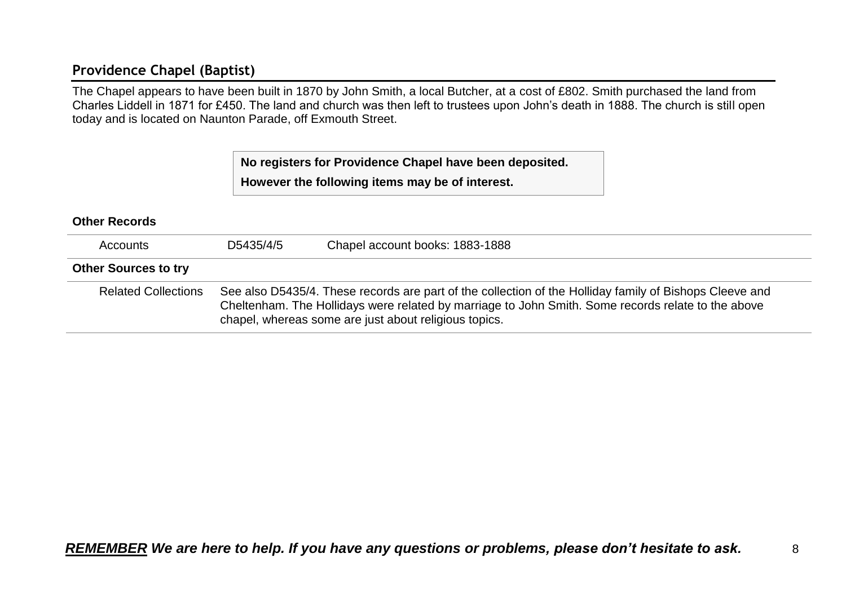## <span id="page-7-0"></span>**Providence Chapel (Baptist)**

The Chapel appears to have been built in 1870 by John Smith, a local Butcher, at a cost of £802. Smith purchased the land from Charles Liddell in 1871 for £450. The land and church was then left to trustees upon John's death in 1888. The church is still open today and is located on Naunton Parade, off Exmouth Street.

> **No registers for Providence Chapel have been deposited. However the following items may be of interest.**

## **Other Records** Accounts D5435/4/5 Chapel account books: 1883-1888 **Other Sources to try** Related Collections See also D5435/4. These records are part of the collection of the Holliday family of Bishops Cleeve and Cheltenham. The Hollidays were related by marriage to John Smith. Some records relate to the above chapel, whereas some are just about religious topics.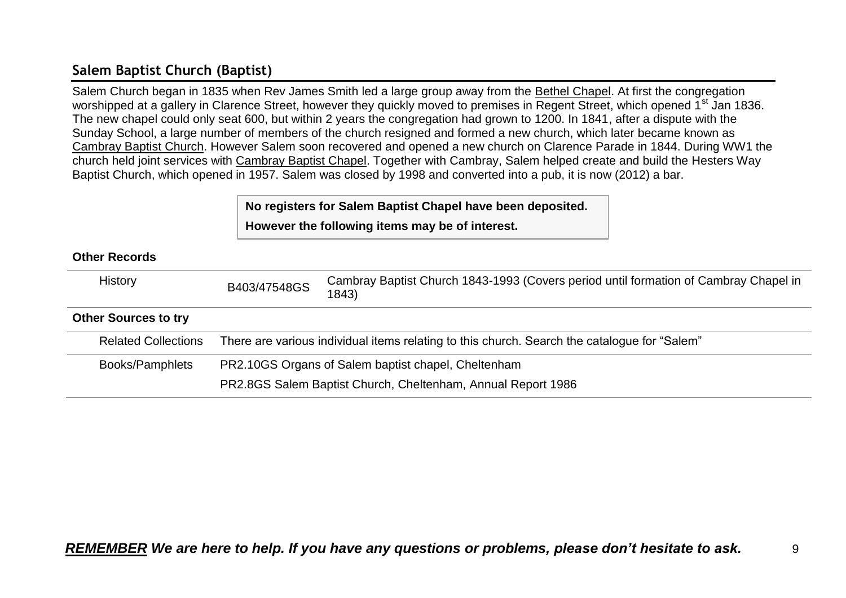## <span id="page-8-0"></span>**Salem Baptist Church (Baptist)**

Salem Church began in 1835 when Rev James Smith led a large group away from the Bethel Chapel. At first the congregation worshipped at a gallery in Clarence Street, however they quickly moved to premises in Regent Street, which opened 1<sup>st</sup> Jan 1836. The new chapel could only seat 600, but within 2 years the congregation had grown to 1200. In 1841, after a dispute with the Sunday School, a large number of members of the church resigned and formed a new church, which later became known as Cambray Baptist Church. However Salem soon recovered and opened a new church on Clarence Parade in 1844. During WW1 the church held joint services with Cambray Baptist Chapel. Together with Cambray, Salem helped create and build the Hesters Way Baptist Church, which opened in 1957. Salem was closed by 1998 and converted into a pub, it is now (2012) a bar.

## **No registers for Salem Baptist Chapel have been deposited.**

**However the following items may be of interest.**

| <b>History</b>              | B403/47548GS                                                                                 | Cambray Baptist Church 1843-1993 (Covers period until formation of Cambray Chapel in<br>1843) |  |
|-----------------------------|----------------------------------------------------------------------------------------------|-----------------------------------------------------------------------------------------------|--|
| <b>Other Sources to try</b> |                                                                                              |                                                                                               |  |
| <b>Related Collections</b>  | There are various individual items relating to this church. Search the catalogue for "Salem" |                                                                                               |  |
| Books/Pamphlets             | PR2.10GS Organs of Salem baptist chapel, Cheltenham                                          |                                                                                               |  |
|                             | PR2.8GS Salem Baptist Church, Cheltenham, Annual Report 1986                                 |                                                                                               |  |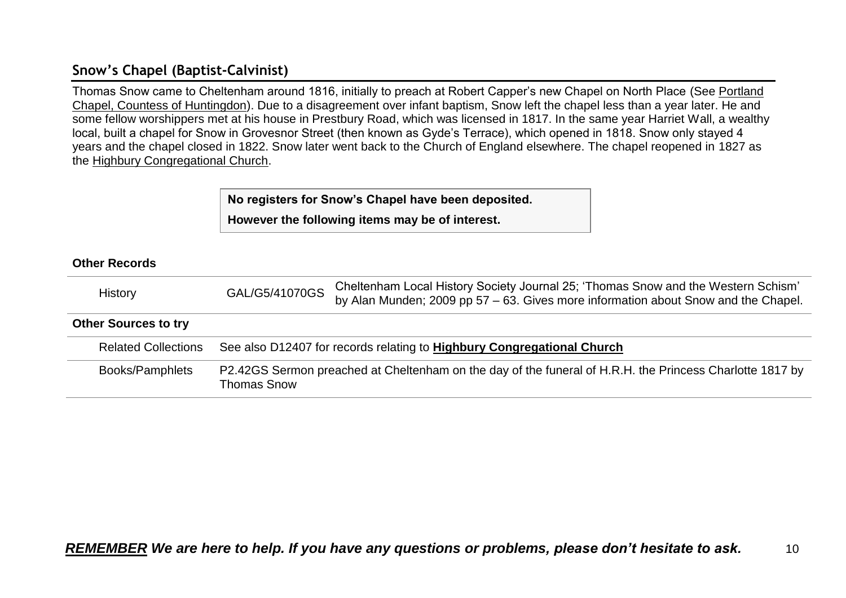## <span id="page-9-0"></span>**Snow's Chapel (Baptist-Calvinist)**

Thomas Snow came to Cheltenham around 1816, initially to preach at Robert Capper's new Chapel on North Place (See Portland Chapel, Countess of Huntingdon). Due to a disagreement over infant baptism, Snow left the chapel less than a year later. He and some fellow worshippers met at his house in Prestbury Road, which was licensed in 1817. In the same year Harriet Wall, a wealthy local, built a chapel for Snow in Grovesnor Street (then known as Gyde's Terrace), which opened in 1818. Snow only stayed 4 years and the chapel closed in 1822. Snow later went back to the Church of England elsewhere. The chapel reopened in 1827 as the Highbury Congregational Church.

> **No registers for Snow's Chapel have been deposited. However the following items may be of interest.**

| History                     | GAL/G5/41070GS                                                         | Cheltenham Local History Society Journal 25; 'Thomas Snow and the Western Schism'<br>by Alan Munden; 2009 pp 57 – 63. Gives more information about Snow and the Chapel. |  |
|-----------------------------|------------------------------------------------------------------------|-------------------------------------------------------------------------------------------------------------------------------------------------------------------------|--|
| <b>Other Sources to try</b> |                                                                        |                                                                                                                                                                         |  |
| <b>Related Collections</b>  | See also D12407 for records relating to Highbury Congregational Church |                                                                                                                                                                         |  |
| Books/Pamphlets             | <b>Thomas Snow</b>                                                     | P2.42GS Sermon preached at Cheltenham on the day of the funeral of H.R.H. the Princess Charlotte 1817 by                                                                |  |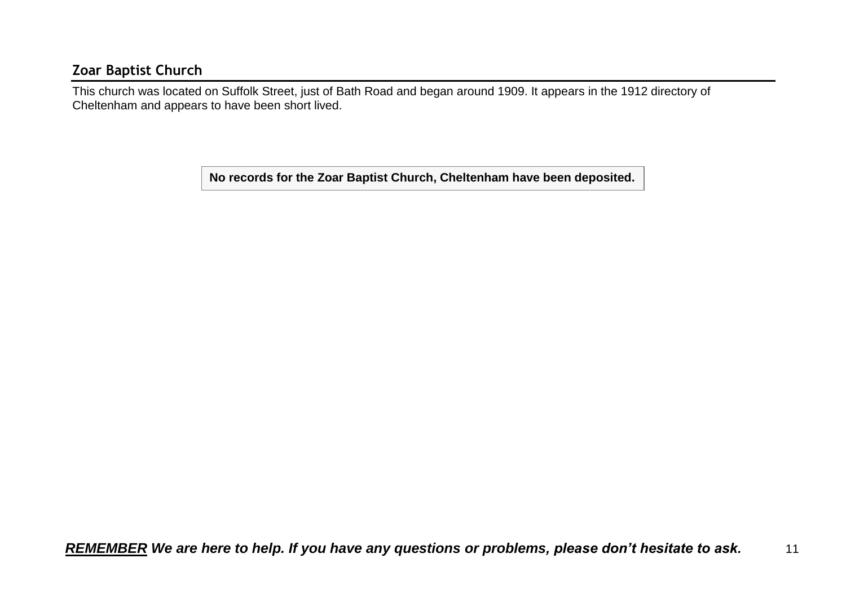### <span id="page-10-0"></span>**Zoar Baptist Church**

This church was located on Suffolk Street, just of Bath Road and began around 1909. It appears in the 1912 directory of Cheltenham and appears to have been short lived.

**No records for the Zoar Baptist Church, Cheltenham have been deposited.**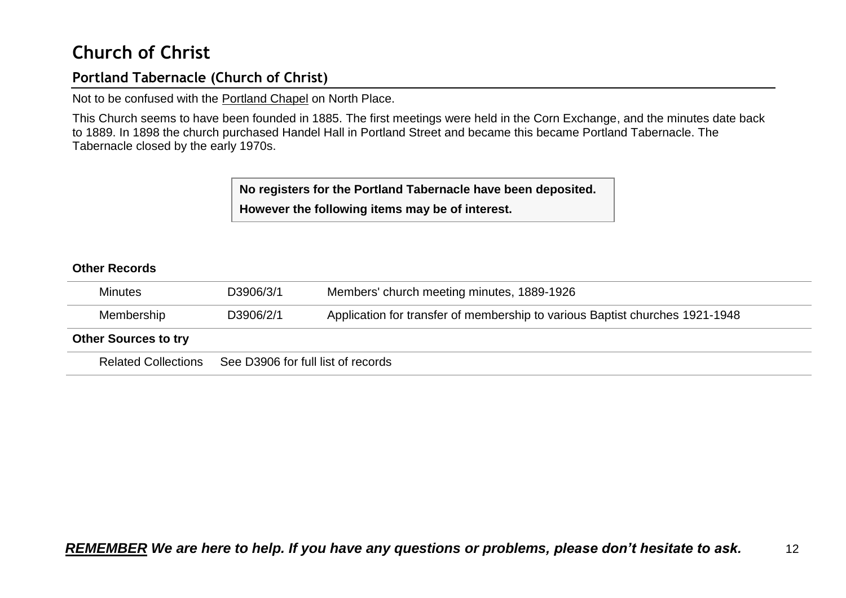## <span id="page-11-0"></span>**Church of Christ**

## <span id="page-11-1"></span>**Portland Tabernacle (Church of Christ)**

Not to be confused with the Portland Chapel on North Place.

This Church seems to have been founded in 1885. The first meetings were held in the Corn Exchange, and the minutes date back to 1889. In 1898 the church purchased Handel Hall in Portland Street and became this became Portland Tabernacle. The Tabernacle closed by the early 1970s.

> **No registers for the Portland Tabernacle have been deposited. However the following items may be of interest.**

| <b>Minutes</b>              | D3906/3/1                          | Members' church meeting minutes, 1889-1926                                   |
|-----------------------------|------------------------------------|------------------------------------------------------------------------------|
| Membership                  | D3906/2/1                          | Application for transfer of membership to various Baptist churches 1921-1948 |
| <b>Other Sources to try</b> |                                    |                                                                              |
| <b>Related Collections</b>  | See D3906 for full list of records |                                                                              |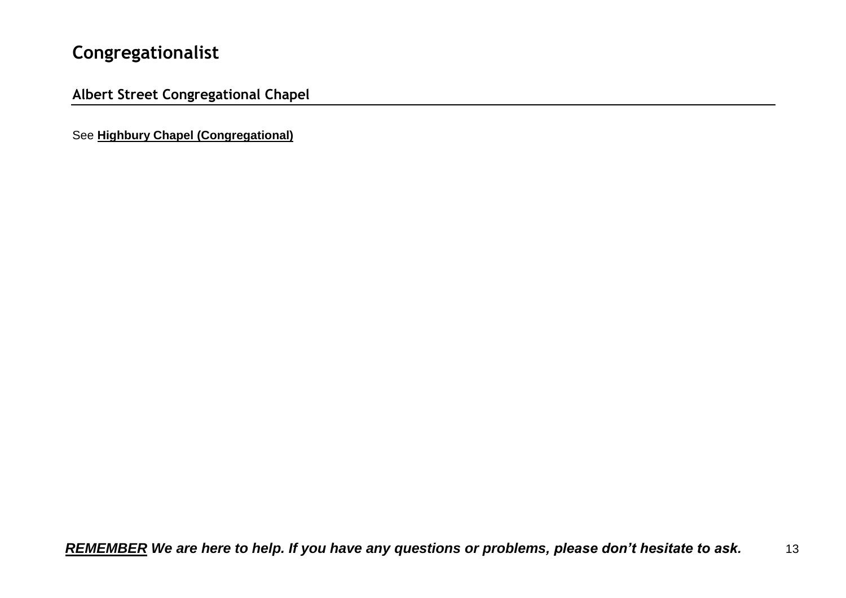## <span id="page-12-0"></span>**Congregationalist**

<span id="page-12-1"></span>**Albert Street Congregational Chapel**

See **Highbury Chapel (Congregational)**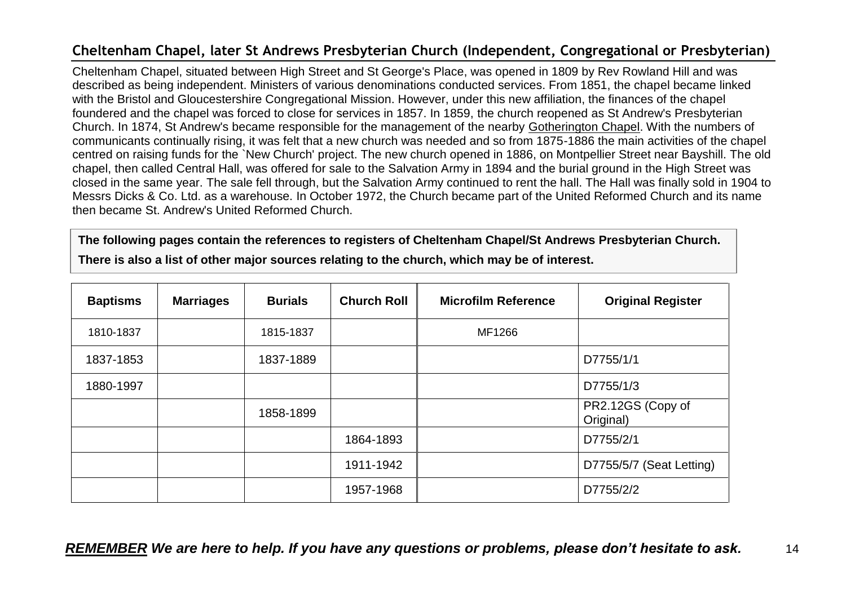## <span id="page-13-0"></span>**Cheltenham Chapel, later St Andrews Presbyterian Church (Independent, Congregational or Presbyterian)**

Cheltenham Chapel, situated between High Street and St George's Place, was opened in 1809 by Rev Rowland Hill and was described as being independent. Ministers of various denominations conducted services. From 1851, the chapel became linked with the Bristol and Gloucestershire Congregational Mission. However, under this new affiliation, the finances of the chapel foundered and the chapel was forced to close for services in 1857. In 1859, the church reopened as St Andrew's Presbyterian Church. In 1874, St Andrew's became responsible for the management of the nearby Gotherington Chapel. With the numbers of communicants continually rising, it was felt that a new church was needed and so from 1875-1886 the main activities of the chapel centred on raising funds for the `New Church' project. The new church opened in 1886, on Montpellier Street near Bayshill. The old chapel, then called Central Hall, was offered for sale to the Salvation Army in 1894 and the burial ground in the High Street was closed in the same year. The sale fell through, but the Salvation Army continued to rent the hall. The Hall was finally sold in 1904 to Messrs Dicks & Co. Ltd. as a warehouse. In October 1972, the Church became part of the United Reformed Church and its name then became St. Andrew's United Reformed Church.

**The following pages contain the references to registers of Cheltenham Chapel/St Andrews Presbyterian Church.**

| <b>Baptisms</b> | <b>Marriages</b> | <b>Burials</b> | <b>Church Roll</b> | <b>Microfilm Reference</b> | <b>Original Register</b>       |
|-----------------|------------------|----------------|--------------------|----------------------------|--------------------------------|
| 1810-1837       |                  | 1815-1837      |                    | MF1266                     |                                |
| 1837-1853       |                  | 1837-1889      |                    |                            | D7755/1/1                      |
| 1880-1997       |                  |                |                    |                            | D7755/1/3                      |
|                 |                  | 1858-1899      |                    |                            | PR2.12GS (Copy of<br>Original) |
|                 |                  |                | 1864-1893          |                            | D7755/2/1                      |
|                 |                  |                | 1911-1942          |                            | D7755/5/7 (Seat Letting)       |
|                 |                  |                | 1957-1968          |                            | D7755/2/2                      |

**There is also a list of other major sources relating to the church, which may be of interest.**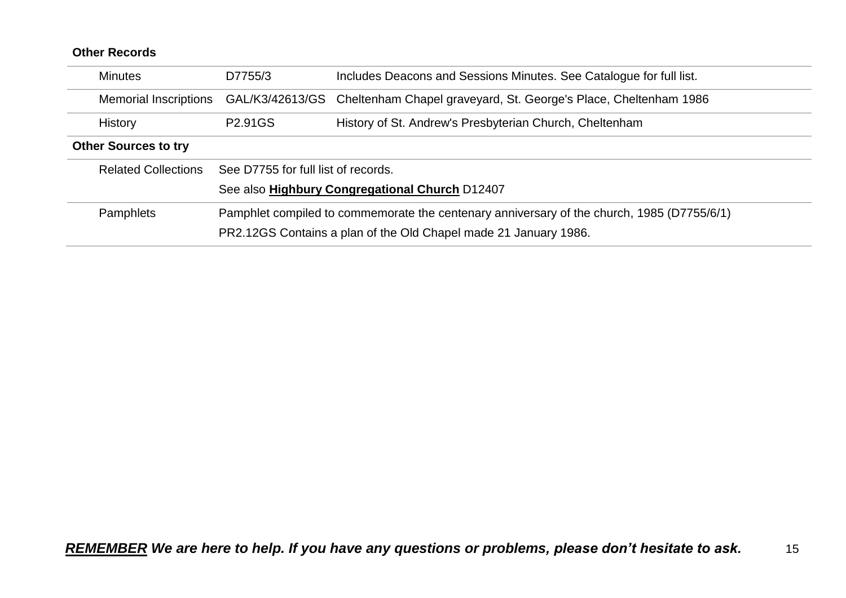| <b>Minutes</b>               | D7755/3                                                                                    | Includes Deacons and Sessions Minutes. See Catalogue for full list. |  |  |  |
|------------------------------|--------------------------------------------------------------------------------------------|---------------------------------------------------------------------|--|--|--|
| <b>Memorial Inscriptions</b> | GAL/K3/42613/GS                                                                            | Cheltenham Chapel graveyard, St. George's Place, Cheltenham 1986    |  |  |  |
| <b>History</b>               | P <sub>2.91</sub> GS                                                                       | History of St. Andrew's Presbyterian Church, Cheltenham             |  |  |  |
| <b>Other Sources to try</b>  |                                                                                            |                                                                     |  |  |  |
| <b>Related Collections</b>   | See D7755 for full list of records.                                                        |                                                                     |  |  |  |
|                              |                                                                                            | See also Highbury Congregational Church D12407                      |  |  |  |
| <b>Pamphlets</b>             | Pamphlet compiled to commemorate the centenary anniversary of the church, 1985 (D7755/6/1) |                                                                     |  |  |  |
|                              | PR2.12GS Contains a plan of the Old Chapel made 21 January 1986.                           |                                                                     |  |  |  |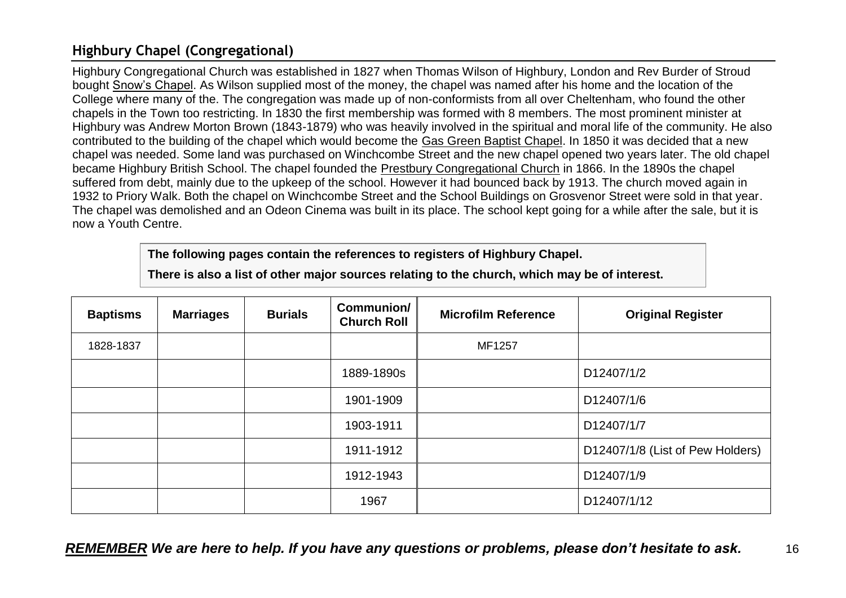## <span id="page-15-0"></span>**Highbury Chapel (Congregational)**

Highbury Congregational Church was established in 1827 when Thomas Wilson of Highbury, London and Rev Burder of Stroud bought Snow's Chapel. As Wilson supplied most of the money, the chapel was named after his home and the location of the College where many of the. The congregation was made up of non-conformists from all over Cheltenham, who found the other chapels in the Town too restricting. In 1830 the first membership was formed with 8 members. The most prominent minister at Highbury was Andrew Morton Brown (1843-1879) who was heavily involved in the spiritual and moral life of the community. He also contributed to the building of the chapel which would become the Gas Green Baptist Chapel. In 1850 it was decided that a new chapel was needed. Some land was purchased on Winchcombe Street and the new chapel opened two years later. The old chapel became Highbury British School. The chapel founded the Prestbury Congregational Church in 1866. In the 1890s the chapel suffered from debt, mainly due to the upkeep of the school. However it had bounced back by 1913. The church moved again in 1932 to Priory Walk. Both the chapel on Winchcombe Street and the School Buildings on Grosvenor Street were sold in that year. The chapel was demolished and an Odeon Cinema was built in its place. The school kept going for a while after the sale, but it is now a Youth Centre.

**The following pages contain the references to registers of Highbury Chapel.**

**There is also a list of other major sources relating to the church, which may be of interest.**

| <b>Baptisms</b> | <b>Marriages</b> | <b>Burials</b> | Communion/<br><b>Church Roll</b> | <b>Microfilm Reference</b> | <b>Original Register</b>         |
|-----------------|------------------|----------------|----------------------------------|----------------------------|----------------------------------|
| 1828-1837       |                  |                |                                  | MF1257                     |                                  |
|                 |                  |                | 1889-1890s                       |                            | D12407/1/2                       |
|                 |                  |                | 1901-1909                        |                            | D12407/1/6                       |
|                 |                  |                | 1903-1911                        |                            | D12407/1/7                       |
|                 |                  |                | 1911-1912                        |                            | D12407/1/8 (List of Pew Holders) |
|                 |                  |                | 1912-1943                        |                            | D12407/1/9                       |
|                 |                  |                | 1967                             |                            | D12407/1/12                      |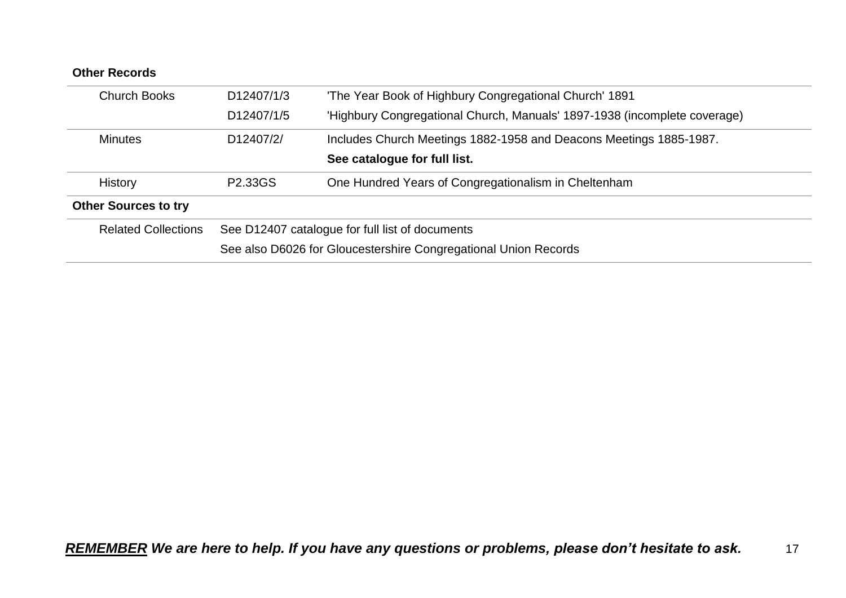| <b>Other Records</b>        |                         |                                                                           |
|-----------------------------|-------------------------|---------------------------------------------------------------------------|
| <b>Church Books</b>         | D <sub>12407</sub> /1/3 | 'The Year Book of Highbury Congregational Church' 1891                    |
|                             | D <sub>12407</sub> /1/5 | 'Highbury Congregational Church, Manuals' 1897-1938 (incomplete coverage) |
| <b>Minutes</b>              | D <sub>12407</sub> /2/  | Includes Church Meetings 1882-1958 and Deacons Meetings 1885-1987.        |
|                             |                         | See catalogue for full list.                                              |
| <b>History</b>              | P2.33GS                 | One Hundred Years of Congregationalism in Cheltenham                      |
| <b>Other Sources to try</b> |                         |                                                                           |
| <b>Related Collections</b>  |                         | See D12407 catalogue for full list of documents                           |
|                             |                         | See also D6026 for Gloucestershire Congregational Union Records           |
|                             |                         |                                                                           |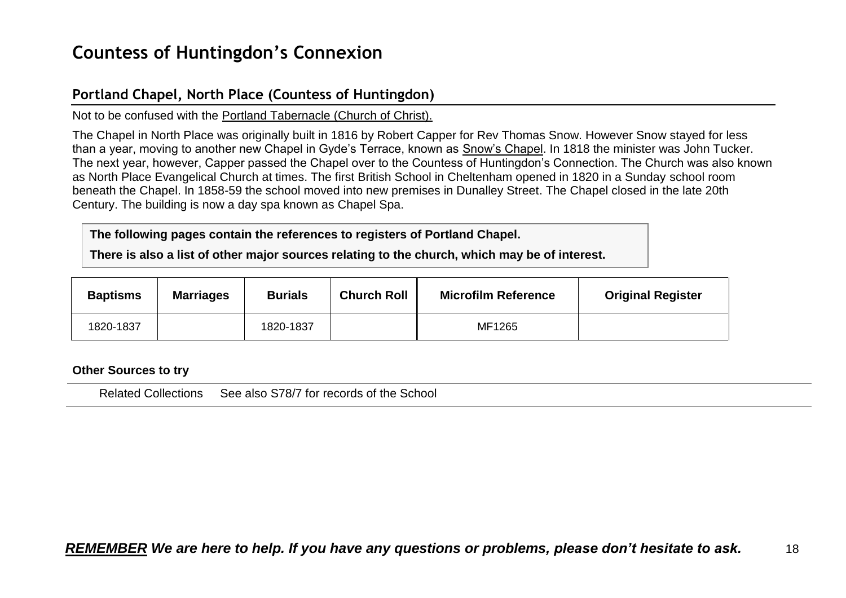## <span id="page-17-0"></span>**Countess of Huntingdon's Connexion**

### <span id="page-17-1"></span>**Portland Chapel, North Place (Countess of Huntingdon)**

Not to be confused with the Portland Tabernacle (Church of Christ).

The Chapel in North Place was originally built in 1816 by Robert Capper for Rev Thomas Snow. However Snow stayed for less than a year, moving to another new Chapel in Gyde's Terrace, known as Snow's Chapel. In 1818 the minister was John Tucker. The next year, however, Capper passed the Chapel over to the Countess of Huntingdon's Connection. The Church was also known as North Place Evangelical Church at times. The first British School in Cheltenham opened in 1820 in a Sunday school room beneath the Chapel. In 1858-59 the school moved into new premises in Dunalley Street. The Chapel closed in the late 20th Century. The building is now a day spa known as Chapel Spa.

**The following pages contain the references to registers of Portland Chapel.**

**There is also a list of other major sources relating to the church, which may be of interest.**

| <b>Baptisms</b> | <b>Marriages</b> | <b>Burials</b> | <b>Church Roll</b> | <b>Microfilm Reference</b> | <b>Original Register</b> |
|-----------------|------------------|----------------|--------------------|----------------------------|--------------------------|
| 1820-1837       |                  | 1820-1837      |                    | MF1265                     |                          |

#### **Other Sources to try**

Related Collections See also S78/7 for records of the School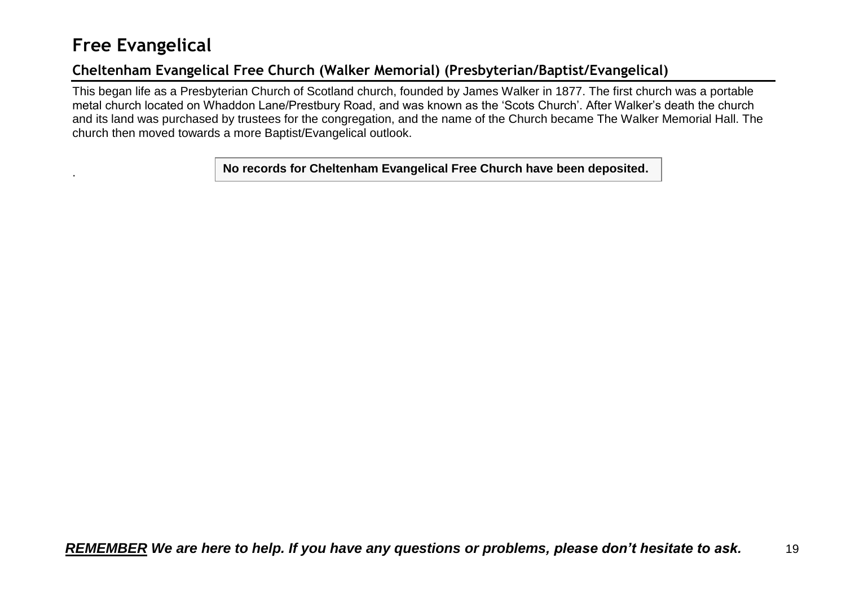## <span id="page-18-0"></span>**Free Evangelical**

## <span id="page-18-1"></span>**Cheltenham Evangelical Free Church (Walker Memorial) (Presbyterian/Baptist/Evangelical)**

This began life as a Presbyterian Church of Scotland church, founded by James Walker in 1877. The first church was a portable metal church located on Whaddon Lane/Prestbury Road, and was known as the 'Scots Church'. After Walker's death the church and its land was purchased by trustees for the congregation, and the name of the Church became The Walker Memorial Hall. The church then moved towards a more Baptist/Evangelical outlook.

. **No records for Cheltenham Evangelical Free Church have been deposited.**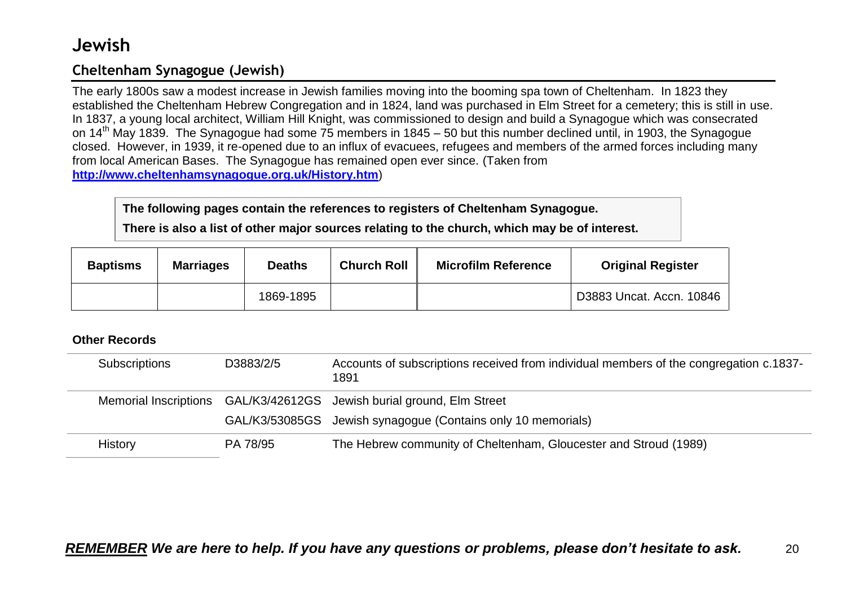## <span id="page-19-0"></span>**Jewish**

## <span id="page-19-1"></span>**Cheltenham Synagogue (Jewish)**

The early 1800s saw a modest increase in Jewish families moving into the booming spa town of Cheltenham. In 1823 they established the Cheltenham Hebrew Congregation and in 1824, land was purchased in Elm Street for a cemetery; this is still in use. In 1837, a young local architect, William Hill Knight, was commissioned to design and build a Synagogue which was consecrated on 14<sup>th</sup> May 1839. The Synagogue had some 75 members in 1845 – 50 but this number declined until, in 1903, the Synagogue closed. However, in 1939, it re-opened due to an influx of evacuees, refugees and members of the armed forces including many from local American Bases. The Synagogue has remained open ever since. (Taken from **<http://www.cheltenhamsynagogue.org.uk/History.htm>**)

**The following pages contain the references to registers of Cheltenham Synagogue.**

**There is also a list of other major sources relating to the church, which may be of interest.**

| <b>Baptisms</b> | <b>Marriages</b> | <b>Deaths</b> | <b>Church Roll</b> | <b>Microfilm Reference</b> | <b>Original Register</b> |
|-----------------|------------------|---------------|--------------------|----------------------------|--------------------------|
|                 |                  | 1869-1895     |                    |                            | D3883 Uncat. Accn. 10846 |

| <b>Subscriptions</b> | D3883/2/5 | Accounts of subscriptions received from individual members of the congregation c.1837-<br>1891 |
|----------------------|-----------|------------------------------------------------------------------------------------------------|
|                      |           | Memorial Inscriptions GAL/K3/42612GS Jewish burial ground, Elm Street                          |
|                      |           | GAL/K3/53085GS Jewish synagogue (Contains only 10 memorials)                                   |
| History              | PA 78/95  | The Hebrew community of Cheltenham, Gloucester and Stroud (1989)                               |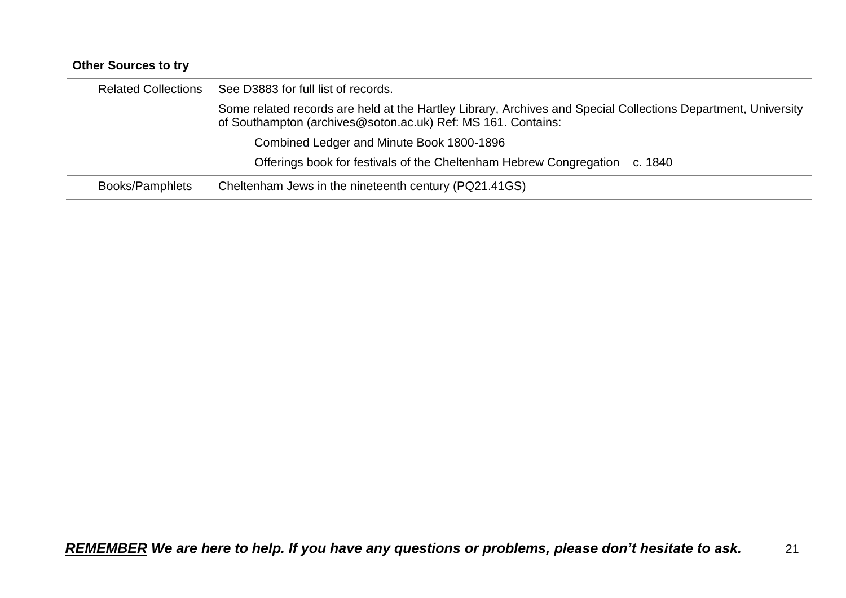| <b>Other Sources to try</b> |                                                                                                                                                                               |
|-----------------------------|-------------------------------------------------------------------------------------------------------------------------------------------------------------------------------|
| <b>Related Collections</b>  | See D3883 for full list of records.                                                                                                                                           |
|                             | Some related records are held at the Hartley Library, Archives and Special Collections Department, University<br>of Southampton (archives@soton.ac.uk) Ref: MS 161. Contains: |
|                             | Combined Ledger and Minute Book 1800-1896                                                                                                                                     |
|                             | Offerings book for festivals of the Cheltenham Hebrew Congregation c. 1840                                                                                                    |
| Books/Pamphlets             | Cheltenham Jews in the nineteenth century (PQ21.41GS)                                                                                                                         |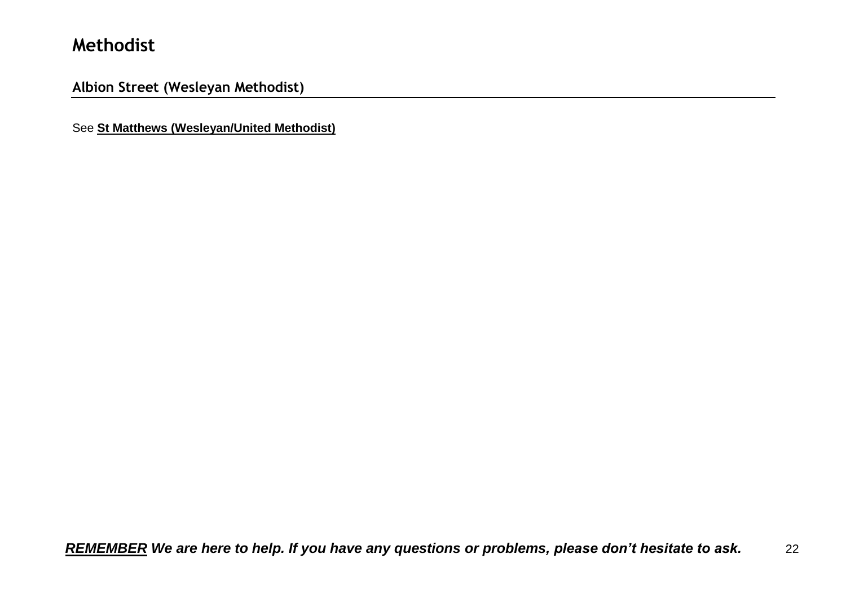## <span id="page-21-0"></span>**Methodist**

<span id="page-21-1"></span>**Albion Street (Wesleyan Methodist)**

See **St Matthews (Wesleyan/United Methodist)**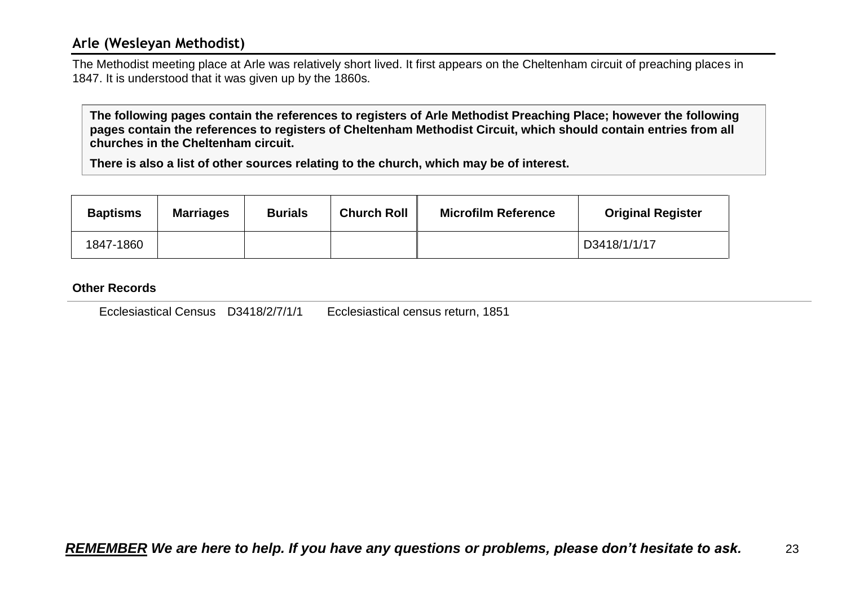### <span id="page-22-0"></span>**Arle (Wesleyan Methodist)**

The Methodist meeting place at Arle was relatively short lived. It first appears on the Cheltenham circuit of preaching places in 1847. It is understood that it was given up by the 1860s.

**The following pages contain the references to registers of Arle Methodist Preaching Place; however the following pages contain the references to registers of Cheltenham Methodist Circuit, which should contain entries from all churches in the Cheltenham circuit.**

**There is also a list of other sources relating to the church, which may be of interest.**

| <b>Baptisms</b> | <b>Marriages</b> | <b>Burials</b> | <b>Church Roll</b> | <b>Microfilm Reference</b> | <b>Original Register</b> |
|-----------------|------------------|----------------|--------------------|----------------------------|--------------------------|
| 1847-1860       |                  |                |                    |                            | D3418/1/1/17             |

#### **Other Records**

Ecclesiastical Census D3418/2/7/1/1 Ecclesiastical census return, 1851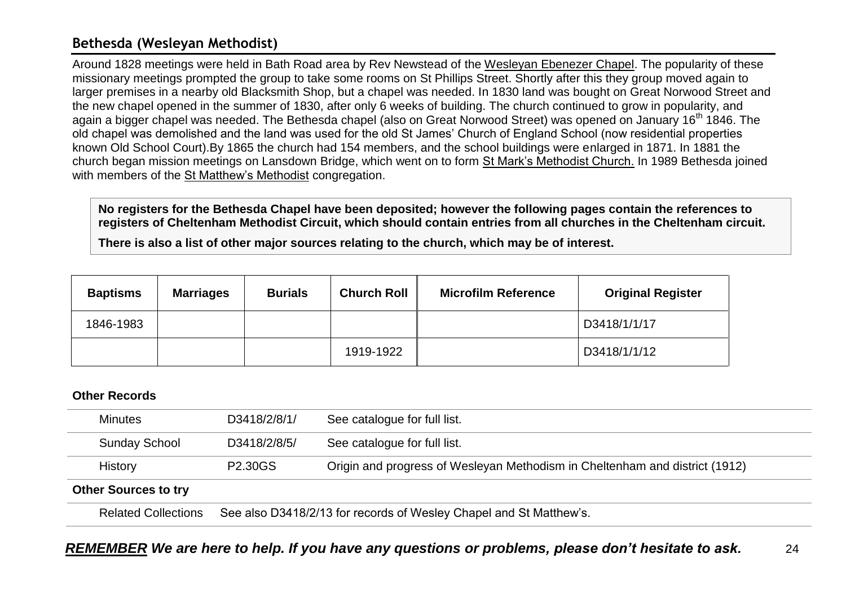### <span id="page-23-0"></span>**Bethesda (Wesleyan Methodist)**

Around 1828 meetings were held in Bath Road area by Rev Newstead of the Wesleyan Ebenezer Chapel. The popularity of these missionary meetings prompted the group to take some rooms on St Phillips Street. Shortly after this they group moved again to larger premises in a nearby old Blacksmith Shop, but a chapel was needed. In 1830 land was bought on Great Norwood Street and the new chapel opened in the summer of 1830, after only 6 weeks of building. The church continued to grow in popularity, and again a bigger chapel was needed. The Bethesda chapel (also on Great Norwood Street) was opened on January 16<sup>th</sup> 1846. The old chapel was demolished and the land was used for the old St James' Church of England School (now residential properties known Old School Court).By 1865 the church had 154 members, and the school buildings were enlarged in 1871. In 1881 the church began mission meetings on Lansdown Bridge, which went on to form St Mark's Methodist Church. In 1989 Bethesda joined with members of the St Matthew's Methodist congregation.

**No registers for the Bethesda Chapel have been deposited; however the following pages contain the references to registers of Cheltenham Methodist Circuit, which should contain entries from all churches in the Cheltenham circuit.**

**There is also a list of other major sources relating to the church, which may be of interest.**

| <b>Baptisms</b> | <b>Marriages</b> | <b>Burials</b> | <b>Church Roll</b> | <b>Microfilm Reference</b> | <b>Original Register</b> |
|-----------------|------------------|----------------|--------------------|----------------------------|--------------------------|
| 1846-1983       |                  |                |                    |                            | D3418/1/1/17             |
|                 |                  |                | 1919-1922          |                            | D3418/1/1/12             |

| <b>Minutes</b>              | D3418/2/8/1/                                                       | See catalogue for full list.                                                |  |
|-----------------------------|--------------------------------------------------------------------|-----------------------------------------------------------------------------|--|
| <b>Sunday School</b>        | D3418/2/8/5/                                                       | See catalogue for full list.                                                |  |
| History                     | <b>P2.30GS</b>                                                     | Origin and progress of Wesleyan Methodism in Cheltenham and district (1912) |  |
| <b>Other Sources to try</b> |                                                                    |                                                                             |  |
| <b>Related Collections</b>  | See also D3418/2/13 for records of Wesley Chapel and St Matthew's. |                                                                             |  |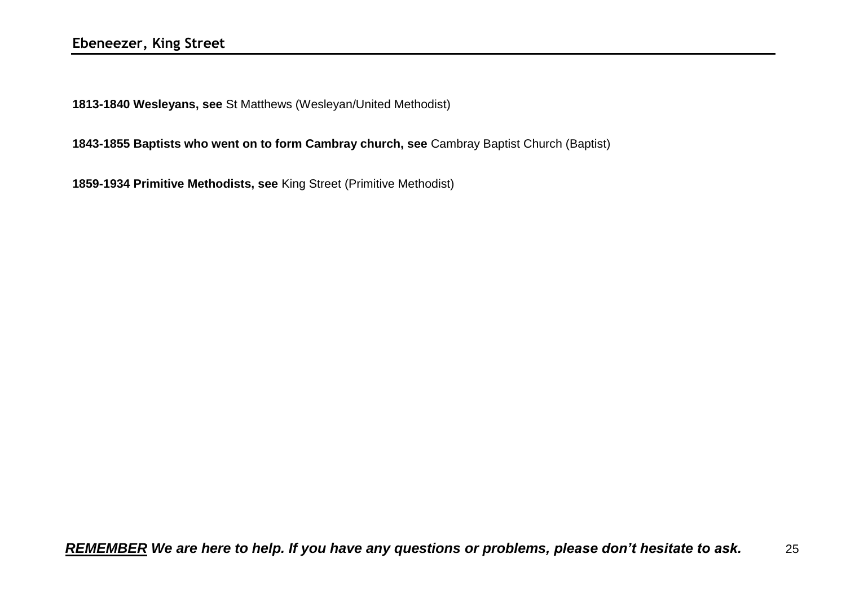<span id="page-24-0"></span>**1813-1840 Wesleyans, see** St Matthews (Wesleyan/United Methodist)

**1843-1855 Baptists who went on to form Cambray church, see** Cambray Baptist Church (Baptist)

**1859-1934 Primitive Methodists, see** King Street (Primitive Methodist)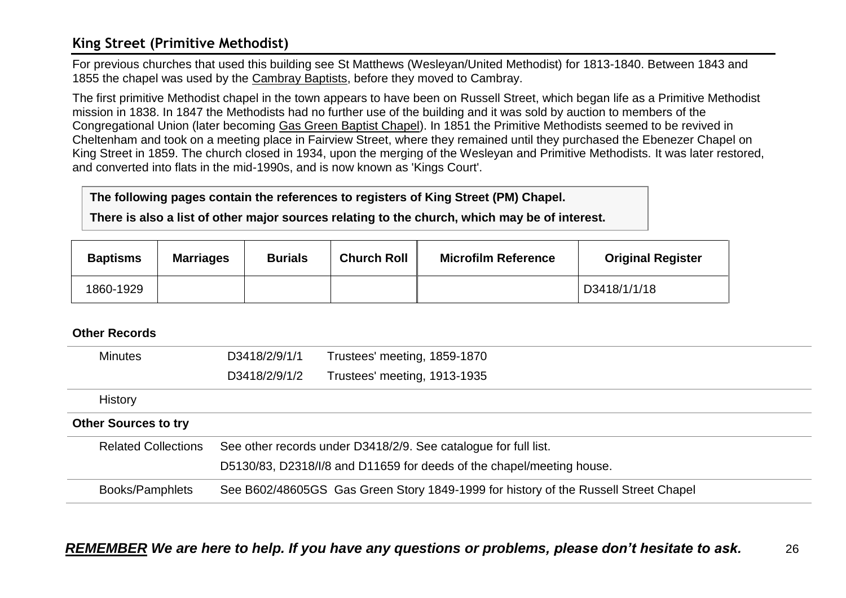### <span id="page-25-0"></span>**King Street (Primitive Methodist)**

For previous churches that used this building see St Matthews (Wesleyan/United Methodist) for 1813-1840. Between 1843 and 1855 the chapel was used by the Cambray Baptists, before they moved to Cambray.

The first primitive Methodist chapel in the town appears to have been on Russell Street, which began life as a Primitive Methodist mission in 1838. In 1847 the Methodists had no further use of the building and it was sold by auction to members of the Congregational Union (later becoming Gas Green Baptist Chapel). In 1851 the Primitive Methodists seemed to be revived in Cheltenham and took on a meeting place in Fairview Street, where they remained until they purchased the Ebenezer Chapel on King Street in 1859. The church closed in 1934, upon the merging of the Wesleyan and Primitive Methodists. It was later restored, and converted into flats in the mid-1990s, and is now known as 'Kings Court'.

#### **The following pages contain the references to registers of King Street (PM) Chapel.**

**There is also a list of other major sources relating to the church, which may be of interest.**

| <b>Baptisms</b> | <b>Marriages</b> | <b>Burials</b> | <b>Church Roll</b> | <b>Microfilm Reference</b> | <b>Original Register</b> |
|-----------------|------------------|----------------|--------------------|----------------------------|--------------------------|
| 1860-1929       |                  |                |                    |                            | D3418/1/1/18             |

| <b>Minutes</b>              | D3418/2/9/1/1 | Trustees' meeting, 1859-1870                                                        |
|-----------------------------|---------------|-------------------------------------------------------------------------------------|
|                             | D3418/2/9/1/2 | Trustees' meeting, 1913-1935                                                        |
| <b>History</b>              |               |                                                                                     |
| <b>Other Sources to try</b> |               |                                                                                     |
| <b>Related Collections</b>  |               | See other records under D3418/2/9. See catalogue for full list.                     |
|                             |               | D5130/83, D2318/I/8 and D11659 for deeds of the chapel/meeting house.               |
| Books/Pamphlets             |               | See B602/48605GS Gas Green Story 1849-1999 for history of the Russell Street Chapel |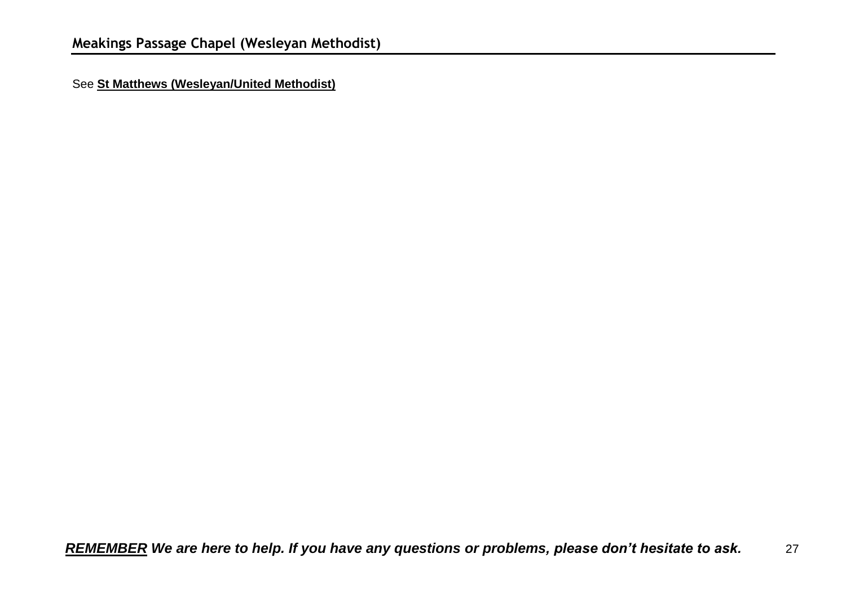<span id="page-26-0"></span>See **St Matthews (Wesleyan/United Methodist)**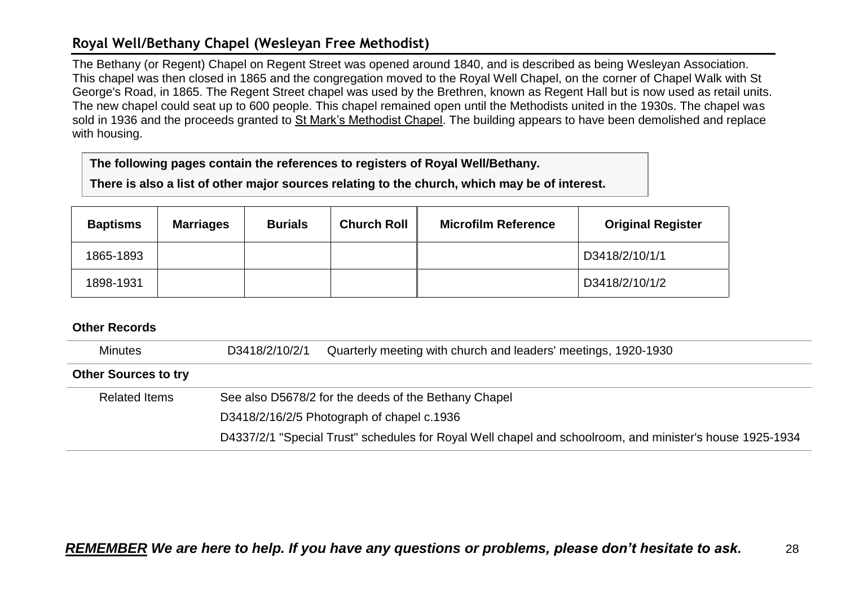## <span id="page-27-0"></span>**Royal Well/Bethany Chapel (Wesleyan Free Methodist)**

The Bethany (or Regent) Chapel on Regent Street was opened around 1840, and is described as being Wesleyan Association. This chapel was then closed in 1865 and the congregation moved to the Royal Well Chapel, on the corner of Chapel Walk with St George's Road, in 1865. The Regent Street chapel was used by the Brethren, known as Regent Hall but is now used as retail units. The new chapel could seat up to 600 people. This chapel remained open until the Methodists united in the 1930s. The chapel was sold in 1936 and the proceeds granted to St Mark's Methodist Chapel. The building appears to have been demolished and replace with housing.

**The following pages contain the references to registers of Royal Well/Bethany.**

**There is also a list of other major sources relating to the church, which may be of interest.**

| <b>Baptisms</b> | <b>Marriages</b> | <b>Burials</b> | <b>Church Roll</b> | <b>Microfilm Reference</b> | <b>Original Register</b> |
|-----------------|------------------|----------------|--------------------|----------------------------|--------------------------|
| 1865-1893       |                  |                |                    |                            | D3418/2/10/1/1           |
| 1898-1931       |                  |                |                    |                            | D3418/2/10/1/2           |

<span id="page-27-1"></span>

| <b>Minutes</b>              | D3418/2/10/2/1                                       | Quarterly meeting with church and leaders' meetings, 1920-1930                                           |
|-----------------------------|------------------------------------------------------|----------------------------------------------------------------------------------------------------------|
| <b>Other Sources to try</b> |                                                      |                                                                                                          |
| <b>Related Items</b>        | See also D5678/2 for the deeds of the Bethany Chapel |                                                                                                          |
|                             |                                                      | D3418/2/16/2/5 Photograph of chapel c.1936                                                               |
|                             |                                                      | D4337/2/1 "Special Trust" schedules for Royal Well chapel and schoolroom, and minister's house 1925-1934 |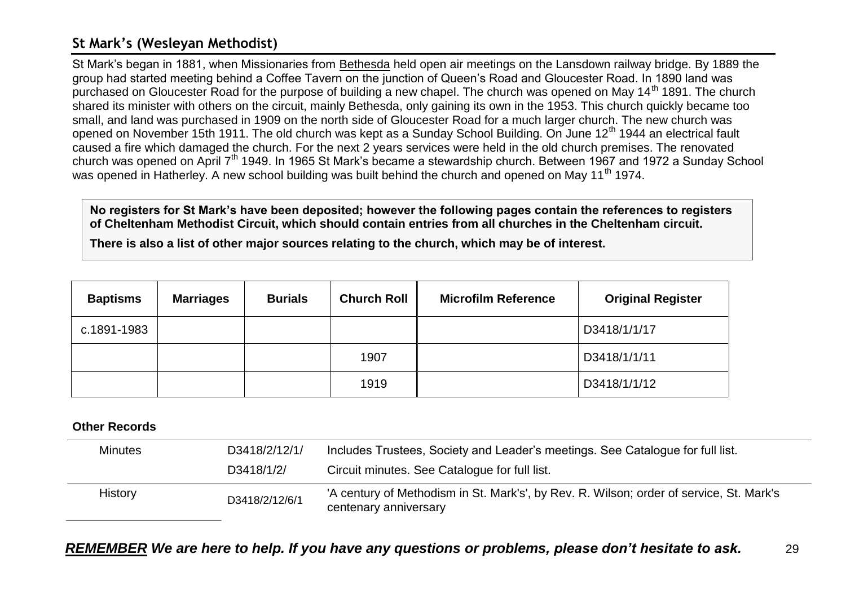### **St Mark's (Wesleyan Methodist)**

St Mark's began in 1881, when Missionaries from Bethesda held open air meetings on the Lansdown railway bridge. By 1889 the group had started meeting behind a Coffee Tavern on the junction of Queen's Road and Gloucester Road. In 1890 land was purchased on Gloucester Road for the purpose of building a new chapel. The church was opened on May 14<sup>th</sup> 1891. The church shared its minister with others on the circuit, mainly Bethesda, only gaining its own in the 1953. This church quickly became too small, and land was purchased in 1909 on the north side of Gloucester Road for a much larger church. The new church was opened on November 15th 1911. The old church was kept as a Sunday School Building. On June 12<sup>th</sup> 1944 an electrical fault caused a fire which damaged the church. For the next 2 years services were held in the old church premises. The renovated church was opened on April 7<sup>th</sup> 1949. In 1965 St Mark's became a stewardship church. Between 1967 and 1972 a Sunday School was opened in Hatherley. A new school building was built behind the church and opened on May 11<sup>th</sup> 1974.

**No registers for St Mark's have been deposited; however the following pages contain the references to registers of Cheltenham Methodist Circuit, which should contain entries from all churches in the Cheltenham circuit.**

**There is also a list of other major sources relating to the church, which may be of interest.**

| <b>Baptisms</b> | <b>Marriages</b> | <b>Burials</b> | <b>Church Roll</b> | <b>Microfilm Reference</b> | <b>Original Register</b> |
|-----------------|------------------|----------------|--------------------|----------------------------|--------------------------|
| c.1891-1983     |                  |                |                    |                            | D3418/1/1/17             |
|                 |                  |                | 1907               |                            | D3418/1/1/11             |
|                 |                  |                | 1919               |                            | D3418/1/1/12             |

#### **Other Records**

| <b>Minutes</b> | D3418/2/12/1/  | Includes Trustees, Society and Leader's meetings. See Catalogue for full list.                                   |
|----------------|----------------|------------------------------------------------------------------------------------------------------------------|
|                | D3418/1/2/     | Circuit minutes. See Catalogue for full list.                                                                    |
|                |                |                                                                                                                  |
| <b>History</b> | D3418/2/12/6/1 | 'A century of Methodism in St. Mark's', by Rev. R. Wilson; order of service, St. Mark's<br>centenary anniversary |

*REMEMBER We are here to help. If you have any questions or problems, please don't hesitate to ask.* 29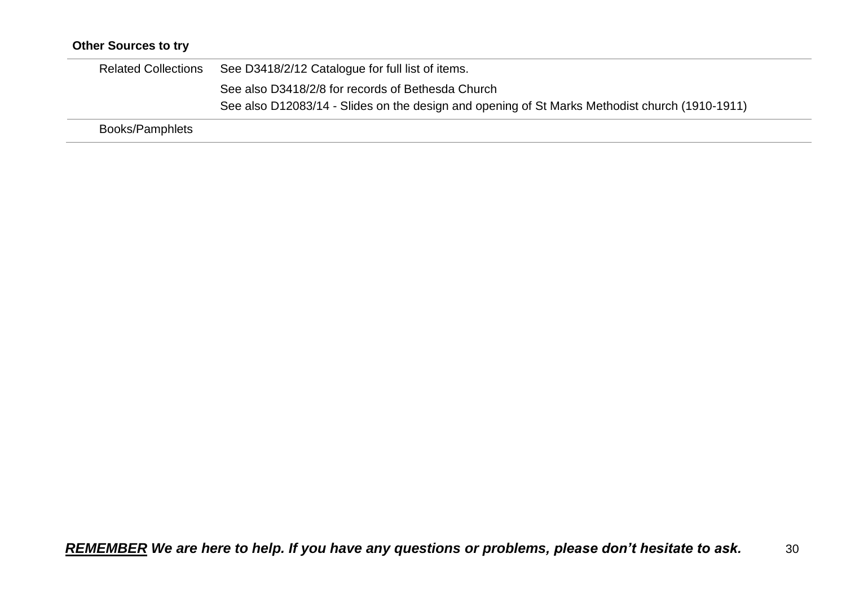## **Other Sources to try**

| <b>Related Collections</b> | See D3418/2/12 Catalogue for full list of items.                                               |
|----------------------------|------------------------------------------------------------------------------------------------|
|                            | See also D3418/2/8 for records of Bethesda Church                                              |
|                            | See also D12083/14 - Slides on the design and opening of St Marks Methodist church (1910-1911) |
| <b>Books/Pamphlets</b>     |                                                                                                |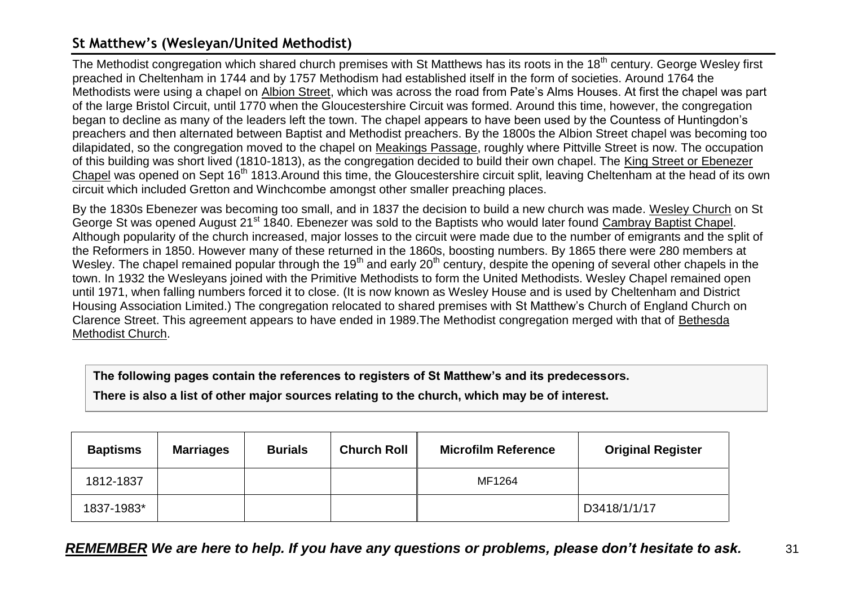## <span id="page-30-0"></span>**St Matthew's (Wesleyan/United Methodist)**

The Methodist congregation which shared church premises with St Matthews has its roots in the 18<sup>th</sup> century. George Wesley first preached in Cheltenham in 1744 and by 1757 Methodism had established itself in the form of societies. Around 1764 the Methodists were using a chapel on Albion Street, which was across the road from Pate's Alms Houses. At first the chapel was part of the large Bristol Circuit, until 1770 when the Gloucestershire Circuit was formed. Around this time, however, the congregation began to decline as many of the leaders left the town. The chapel appears to have been used by the Countess of Huntingdon's preachers and then alternated between Baptist and Methodist preachers. By the 1800s the Albion Street chapel was becoming too dilapidated, so the congregation moved to the chapel on Meakings Passage, roughly where Pittville Street is now. The occupation of this building was short lived (1810-1813), as the congregation decided to build their own chapel. The King Street or Ebenezer Chapel was opened on Sept 16<sup>th</sup> 1813.Around this time, the Gloucestershire circuit split, leaving Cheltenham at the head of its own circuit which included Gretton and Winchcombe amongst other smaller preaching places.

By the 1830s Ebenezer was becoming too small, and in 1837 the decision to build a new church was made. Wesley Church on St George St was opened August 21<sup>st</sup> 1840. Ebenezer was sold to the Baptists who would later found Cambray Baptist Chapel. Although popularity of the church increased, major losses to the circuit were made due to the number of emigrants and the split of the Reformers in 1850. However many of these returned in the 1860s, boosting numbers. By 1865 there were 280 members at Wesley. The chapel remained popular through the 19<sup>th</sup> and early 20<sup>th</sup> century, despite the opening of several other chapels in the town. In 1932 the Wesleyans joined with the Primitive Methodists to form the United Methodists. Wesley Chapel remained open until 1971, when falling numbers forced it to close. (It is now known as Wesley House and is used by Cheltenham and District Housing Association Limited.) The congregation relocated to shared premises with St Matthew's Church of England Church on Clarence Street. This agreement appears to have ended in 1989.The Methodist congregation merged with that of Bethesda Methodist Church.

**The following pages contain the references to registers of St Matthew's and its predecessors.**

**There is also a list of other major sources relating to the church, which may be of interest.**

| <b>Baptisms</b> | <b>Marriages</b> | <b>Burials</b> | <b>Church Roll</b> | <b>Microfilm Reference</b> | <b>Original Register</b> |
|-----------------|------------------|----------------|--------------------|----------------------------|--------------------------|
| 1812-1837       |                  |                |                    | MF1264                     |                          |
| 1837-1983*      |                  |                |                    |                            | D3418/1/1/17             |

*REMEMBER We are here to help. If you have any questions or problems, please don't hesitate to ask.* 31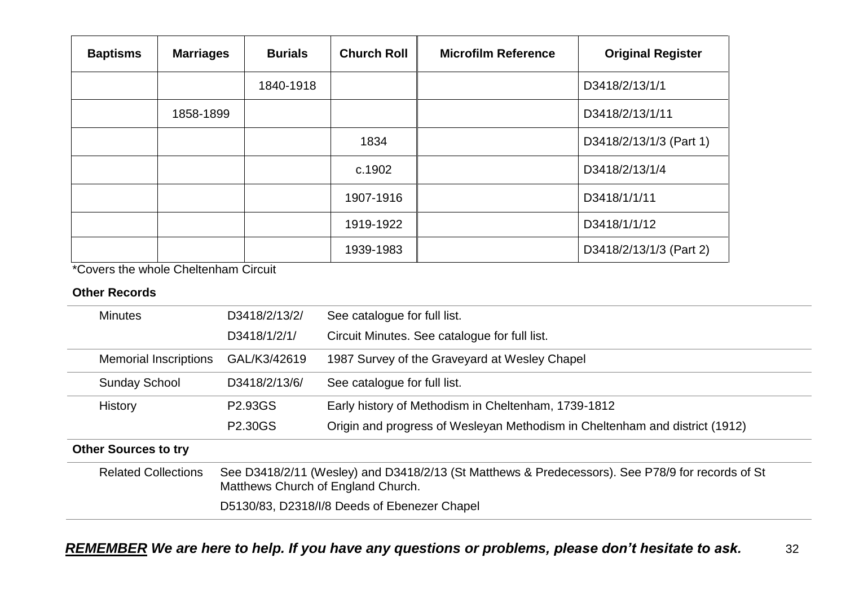| <b>Baptisms</b> | <b>Marriages</b> | <b>Burials</b> | <b>Church Roll</b> | <b>Microfilm Reference</b> | <b>Original Register</b> |
|-----------------|------------------|----------------|--------------------|----------------------------|--------------------------|
|                 |                  | 1840-1918      |                    |                            | D3418/2/13/1/1           |
|                 | 1858-1899        |                |                    |                            | D3418/2/13/1/11          |
|                 |                  |                | 1834               |                            | D3418/2/13/1/3 (Part 1)  |
|                 |                  |                | c.1902             |                            | D3418/2/13/1/4           |
|                 |                  |                | 1907-1916          |                            | D3418/1/1/11             |
|                 |                  |                | 1919-1922          |                            | D3418/1/1/12             |
|                 |                  |                | 1939-1983          |                            | D3418/2/13/1/3 (Part 2)  |

\*Covers the whole Cheltenham Circuit

| <b>Minutes</b>               | D3418/2/13/2/        | See catalogue for full list.                                                                                                           |  |  |  |
|------------------------------|----------------------|----------------------------------------------------------------------------------------------------------------------------------------|--|--|--|
|                              | D3418/1/2/1/         | Circuit Minutes. See catalogue for full list.                                                                                          |  |  |  |
| <b>Memorial Inscriptions</b> | GAL/K3/42619         | 1987 Survey of the Graveyard at Wesley Chapel                                                                                          |  |  |  |
| <b>Sunday School</b>         | D3418/2/13/6/        | See catalogue for full list.                                                                                                           |  |  |  |
| History                      | P <sub>2.93</sub> GS | Early history of Methodism in Cheltenham, 1739-1812                                                                                    |  |  |  |
|                              | P2.30GS              | Origin and progress of Wesleyan Methodism in Cheltenham and district (1912)                                                            |  |  |  |
| <b>Other Sources to try</b>  |                      |                                                                                                                                        |  |  |  |
| <b>Related Collections</b>   |                      | See D3418/2/11 (Wesley) and D3418/2/13 (St Matthews & Predecessors). See P78/9 for records of St<br>Matthews Church of England Church. |  |  |  |
|                              |                      | D5130/83, D2318/I/8 Deeds of Ebenezer Chapel                                                                                           |  |  |  |
|                              |                      |                                                                                                                                        |  |  |  |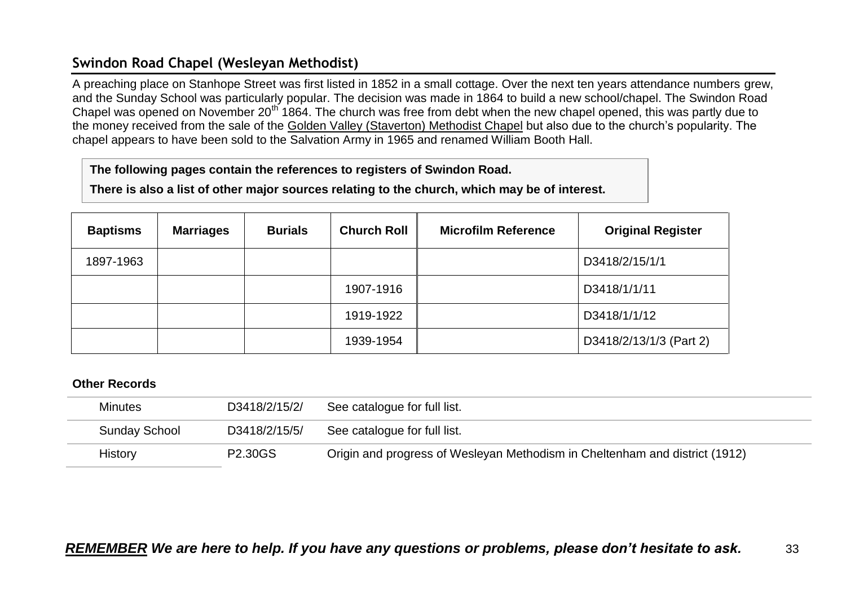## <span id="page-32-0"></span>**Swindon Road Chapel (Wesleyan Methodist)**

A preaching place on Stanhope Street was first listed in 1852 in a small cottage. Over the next ten years attendance numbers grew, and the Sunday School was particularly popular. The decision was made in 1864 to build a new school/chapel. The Swindon Road Chapel was opened on November 20<sup>th</sup> 1864. The church was free from debt when the new chapel opened, this was partly due to the money received from the sale of the Golden Valley (Staverton) Methodist Chapel but also due to the church's popularity. The chapel appears to have been sold to the Salvation Army in 1965 and renamed William Booth Hall.

#### **The following pages contain the references to registers of Swindon Road.**

**There is also a list of other major sources relating to the church, which may be of interest.**

| <b>Baptisms</b> | <b>Marriages</b> | <b>Burials</b> | <b>Church Roll</b> | <b>Microfilm Reference</b> | <b>Original Register</b> |
|-----------------|------------------|----------------|--------------------|----------------------------|--------------------------|
| 1897-1963       |                  |                |                    |                            | D3418/2/15/1/1           |
|                 |                  |                | 1907-1916          |                            | D3418/1/1/11             |
|                 |                  |                | 1919-1922          |                            | D3418/1/1/12             |
|                 |                  |                | 1939-1954          |                            | D3418/2/13/1/3 (Part 2)  |

| <b>Minutes</b>       | D3418/2/15/2/  | See catalogue for full list.                                                |
|----------------------|----------------|-----------------------------------------------------------------------------|
| <b>Sunday School</b> | D3418/2/15/5/  | See catalogue for full list.                                                |
| <b>History</b>       | <b>P2.30GS</b> | Origin and progress of Wesleyan Methodism in Cheltenham and district (1912) |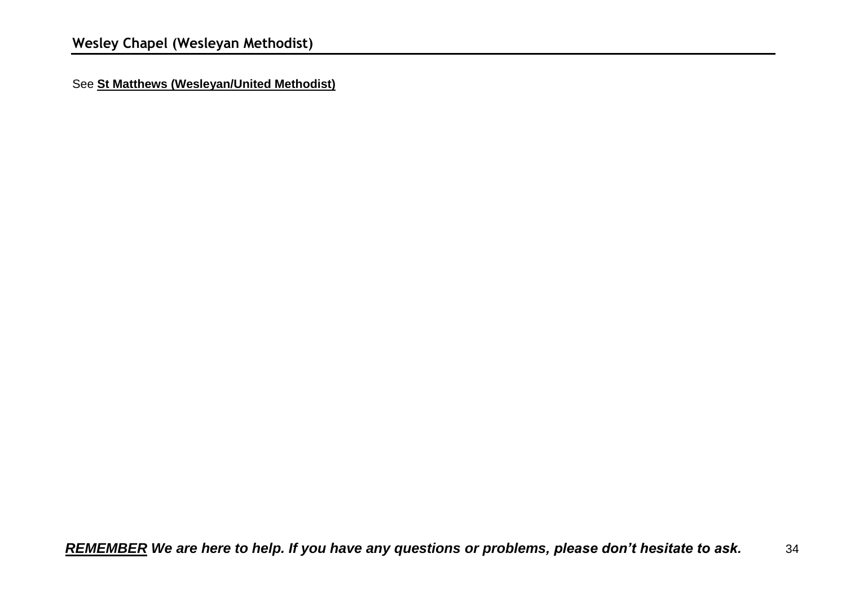<span id="page-33-0"></span>See **St Matthews (Wesleyan/United Methodist)**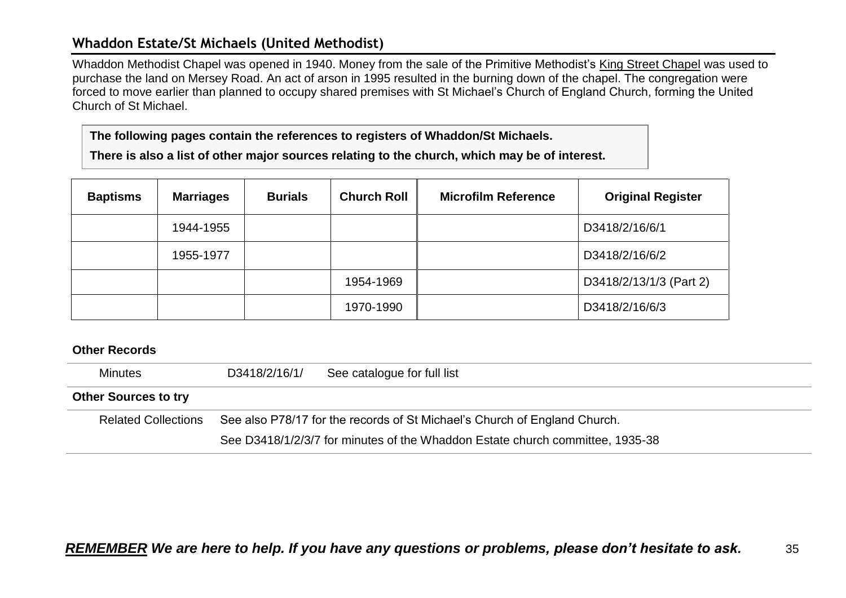### <span id="page-34-0"></span>**Whaddon Estate/St Michaels (United Methodist)**

Whaddon Methodist Chapel was opened in 1940. Money from the sale of the Primitive Methodist's King Street Chapel was used to purchase the land on Mersey Road. An act of arson in 1995 resulted in the burning down of the chapel. The congregation were forced to move earlier than planned to occupy shared premises with St Michael's Church of England Church, forming the United Church of St Michael.

**The following pages contain the references to registers of Whaddon/St Michaels.**

**There is also a list of other major sources relating to the church, which may be of interest.**

| <b>Baptisms</b> | <b>Marriages</b> | <b>Burials</b> | <b>Church Roll</b> | <b>Microfilm Reference</b> | <b>Original Register</b> |
|-----------------|------------------|----------------|--------------------|----------------------------|--------------------------|
|                 | 1944-1955        |                |                    |                            | D3418/2/16/6/1           |
|                 | 1955-1977        |                |                    |                            | D3418/2/16/6/2           |
|                 |                  |                | 1954-1969          |                            | D3418/2/13/1/3 (Part 2)  |
|                 |                  |                | 1970-1990          |                            | D3418/2/16/6/3           |

| <b>Minutes</b>              | D3418/2/16/1/ | See catalogue for full list                                                   |  |  |  |
|-----------------------------|---------------|-------------------------------------------------------------------------------|--|--|--|
| <b>Other Sources to try</b> |               |                                                                               |  |  |  |
| <b>Related Collections</b>  |               | See also P78/17 for the records of St Michael's Church of England Church.     |  |  |  |
|                             |               | See D3418/1/2/3/7 for minutes of the Whaddon Estate church committee, 1935-38 |  |  |  |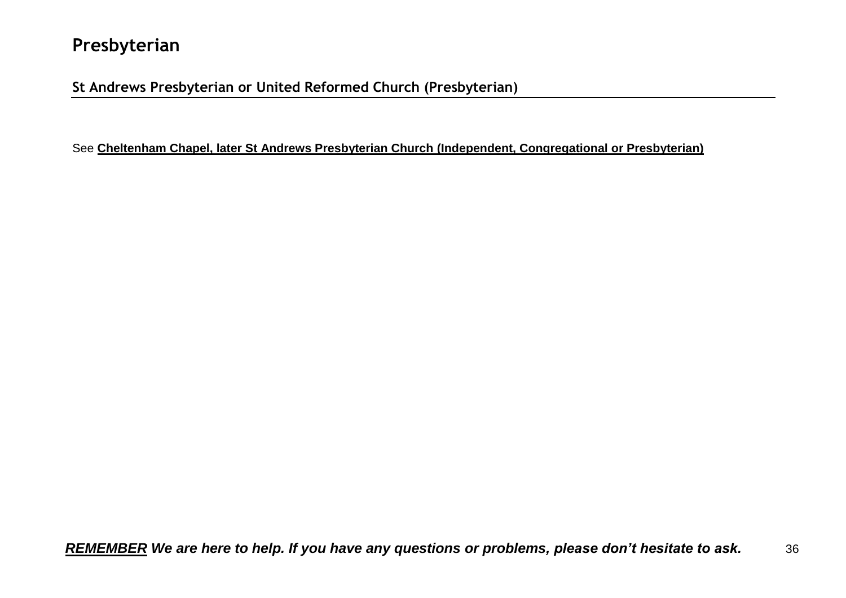## <span id="page-35-0"></span>**Presbyterian**

## <span id="page-35-1"></span>**St Andrews Presbyterian or United Reformed Church (Presbyterian)**

See **Cheltenham Chapel, later St Andrews Presbyterian Church (Independent, Congregational or Presbyterian)**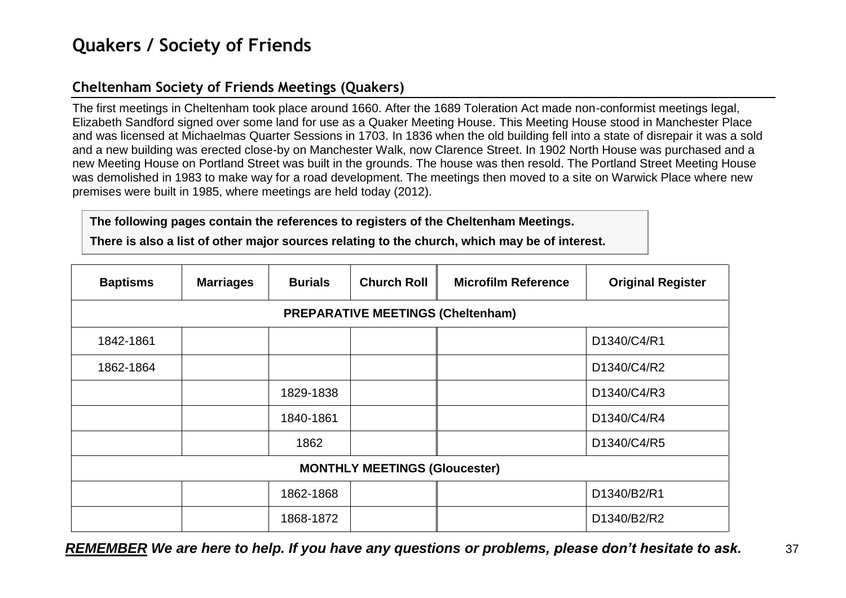## <span id="page-36-0"></span>**Quakers / Society of Friends**

## <span id="page-36-1"></span>**Cheltenham Society of Friends Meetings (Quakers)**

The first meetings in Cheltenham took place around 1660. After the 1689 Toleration Act made non-conformist meetings legal, Elizabeth Sandford signed over some land for use as a Quaker Meeting House. This Meeting House stood in Manchester Place and was licensed at Michaelmas Quarter Sessions in 1703. In 1836 when the old building fell into a state of disrepair it was a sold and a new building was erected close-by on Manchester Walk, now Clarence Street. In 1902 North House was purchased and a new Meeting House on Portland Street was built in the grounds. The house was then resold. The Portland Street Meeting House was demolished in 1983 to make way for a road development. The meetings then moved to a site on Warwick Place where new premises were built in 1985, where meetings are held today (2012).

#### **The following pages contain the references to registers of the Cheltenham Meetings.**

**There is also a list of other major sources relating to the church, which may be of interest.**

| <b>Baptisms</b> | <b>Marriages</b>                         | <b>Burials</b> | <b>Church Roll</b> | <b>Microfilm Reference</b> | <b>Original Register</b> |  |  |  |  |
|-----------------|------------------------------------------|----------------|--------------------|----------------------------|--------------------------|--|--|--|--|
|                 | <b>PREPARATIVE MEETINGS (Cheltenham)</b> |                |                    |                            |                          |  |  |  |  |
| 1842-1861       |                                          |                |                    |                            | D1340/C4/R1              |  |  |  |  |
| 1862-1864       |                                          |                |                    |                            | D1340/C4/R2              |  |  |  |  |
|                 |                                          | 1829-1838      |                    |                            | D1340/C4/R3              |  |  |  |  |
|                 |                                          | 1840-1861      |                    |                            | D1340/C4/R4              |  |  |  |  |
|                 |                                          | 1862           |                    |                            | D1340/C4/R5              |  |  |  |  |
|                 | <b>MONTHLY MEETINGS (Gloucester)</b>     |                |                    |                            |                          |  |  |  |  |
|                 |                                          | 1862-1868      |                    |                            | D1340/B2/R1              |  |  |  |  |
|                 |                                          | 1868-1872      |                    |                            | D1340/B2/R2              |  |  |  |  |

*REMEMBER We are here to help. If you have any questions or problems, please don't hesitate to ask.* 37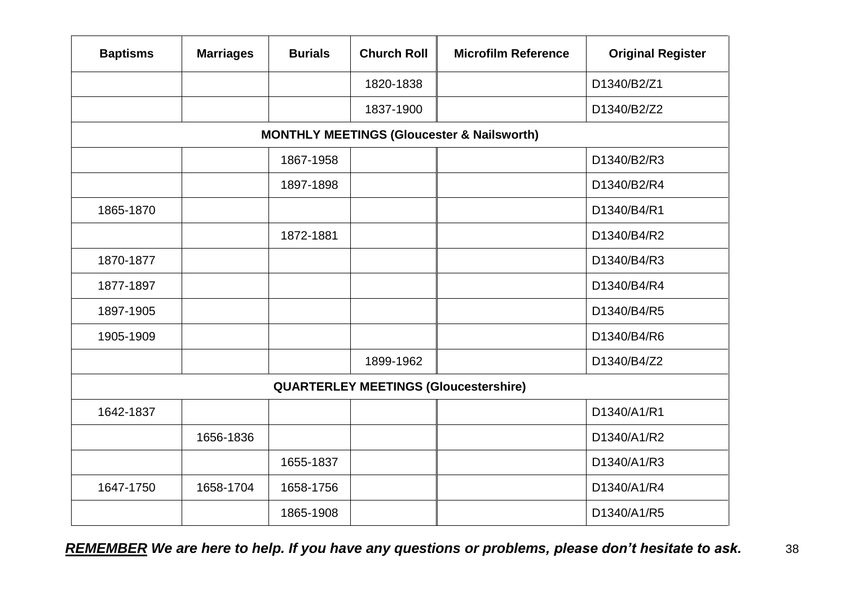| <b>Baptisms</b> | <b>Marriages</b>                                      | <b>Burials</b> | <b>Church Roll</b> | <b>Microfilm Reference</b>                   | <b>Original Register</b> |  |  |  |  |
|-----------------|-------------------------------------------------------|----------------|--------------------|----------------------------------------------|--------------------------|--|--|--|--|
|                 |                                                       |                | 1820-1838          |                                              | D1340/B2/Z1              |  |  |  |  |
|                 |                                                       |                | 1837-1900          |                                              | D1340/B2/Z2              |  |  |  |  |
|                 | <b>MONTHLY MEETINGS (Gloucester &amp; Nailsworth)</b> |                |                    |                                              |                          |  |  |  |  |
|                 |                                                       | 1867-1958      |                    |                                              | D1340/B2/R3              |  |  |  |  |
|                 |                                                       | 1897-1898      |                    |                                              | D1340/B2/R4              |  |  |  |  |
| 1865-1870       |                                                       |                |                    |                                              | D1340/B4/R1              |  |  |  |  |
|                 |                                                       | 1872-1881      |                    |                                              | D1340/B4/R2              |  |  |  |  |
| 1870-1877       |                                                       |                |                    |                                              | D1340/B4/R3              |  |  |  |  |
| 1877-1897       |                                                       |                |                    |                                              | D1340/B4/R4              |  |  |  |  |
| 1897-1905       |                                                       |                |                    |                                              | D1340/B4/R5              |  |  |  |  |
| 1905-1909       |                                                       |                |                    |                                              | D1340/B4/R6              |  |  |  |  |
|                 |                                                       |                | 1899-1962          |                                              | D1340/B4/Z2              |  |  |  |  |
|                 |                                                       |                |                    | <b>QUARTERLEY MEETINGS (Gloucestershire)</b> |                          |  |  |  |  |
| 1642-1837       |                                                       |                |                    |                                              | D1340/A1/R1              |  |  |  |  |
|                 | 1656-1836                                             |                |                    |                                              | D1340/A1/R2              |  |  |  |  |
|                 |                                                       | 1655-1837      |                    |                                              | D1340/A1/R3              |  |  |  |  |
| 1647-1750       | 1658-1704                                             | 1658-1756      |                    |                                              | D1340/A1/R4              |  |  |  |  |
|                 |                                                       | 1865-1908      |                    |                                              | D1340/A1/R5              |  |  |  |  |

*REMEMBER We are here to help. If you have any questions or problems, please don't hesitate to ask.* 38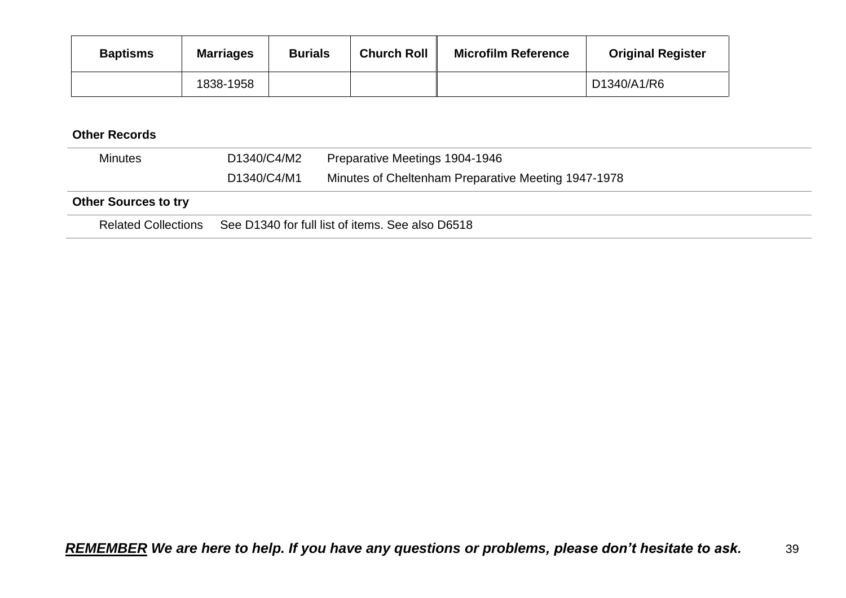| <b>Baptisms</b> | <b>Marriages</b> | <b>Burials</b> | <b>Church Roll</b> | <b>Microfilm Reference</b> | <b>Original Register</b> |
|-----------------|------------------|----------------|--------------------|----------------------------|--------------------------|
|                 | 1838-1958        |                |                    |                            | D1340/A1/R6              |

| <b>Minutes</b>              | D1340/C4/M2                                      | Preparative Meetings 1904-1946                      |
|-----------------------------|--------------------------------------------------|-----------------------------------------------------|
|                             | D1340/C4/M1                                      | Minutes of Cheltenham Preparative Meeting 1947-1978 |
| <b>Other Sources to try</b> |                                                  |                                                     |
| <b>Related Collections</b>  | See D1340 for full list of items. See also D6518 |                                                     |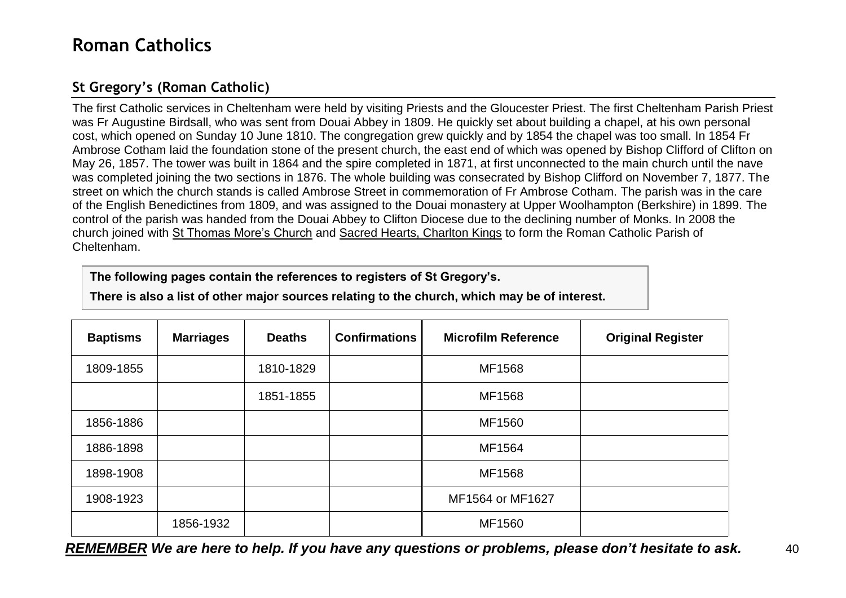## <span id="page-39-0"></span>**Roman Catholics**

## <span id="page-39-1"></span>**St Gregory's (Roman Catholic)**

The first Catholic services in Cheltenham were held by visiting Priests and the Gloucester Priest. The first Cheltenham Parish Priest was Fr Augustine Birdsall, who was sent from Douai Abbey in 1809. He quickly set about building a chapel, at his own personal cost, which opened on Sunday 10 June 1810. The congregation grew quickly and by 1854 the chapel was too small. In 1854 Fr Ambrose Cotham laid the foundation stone of the present church, the east end of which was opened by Bishop Clifford of Clifton on May 26, 1857. The tower was built in 1864 and the spire completed in 1871, at first unconnected to the main church until the nave was completed joining the two sections in 1876. The whole building was consecrated by Bishop Clifford on November 7, 1877. The street on which the church stands is called Ambrose Street in commemoration of Fr Ambrose Cotham. The parish was in the care of the English Benedictines from 1809, and was assigned to the Douai monastery at Upper Woolhampton (Berkshire) in 1899. The control of the parish was handed from the Douai Abbey to Clifton Diocese due to the declining number of Monks. In 2008 the church joined with St Thomas More's Church and Sacred Hearts, Charlton Kings to form the Roman Catholic Parish of Cheltenham.

**The following pages contain the references to registers of St Gregory's.**

**There is also a list of other major sources relating to the church, which may be of interest.**

| <b>Baptisms</b> | <b>Marriages</b> | <b>Deaths</b> | <b>Confirmations</b> | <b>Microfilm Reference</b> | <b>Original Register</b> |
|-----------------|------------------|---------------|----------------------|----------------------------|--------------------------|
| 1809-1855       |                  | 1810-1829     |                      | MF1568                     |                          |
|                 |                  | 1851-1855     |                      | MF1568                     |                          |
| 1856-1886       |                  |               |                      | MF1560                     |                          |
| 1886-1898       |                  |               |                      | MF1564                     |                          |
| 1898-1908       |                  |               |                      | MF1568                     |                          |
| 1908-1923       |                  |               |                      | MF1564 or MF1627           |                          |
|                 | 1856-1932        |               |                      | MF1560                     |                          |

*REMEMBER We are here to help. If you have any questions or problems, please don't hesitate to ask.* 40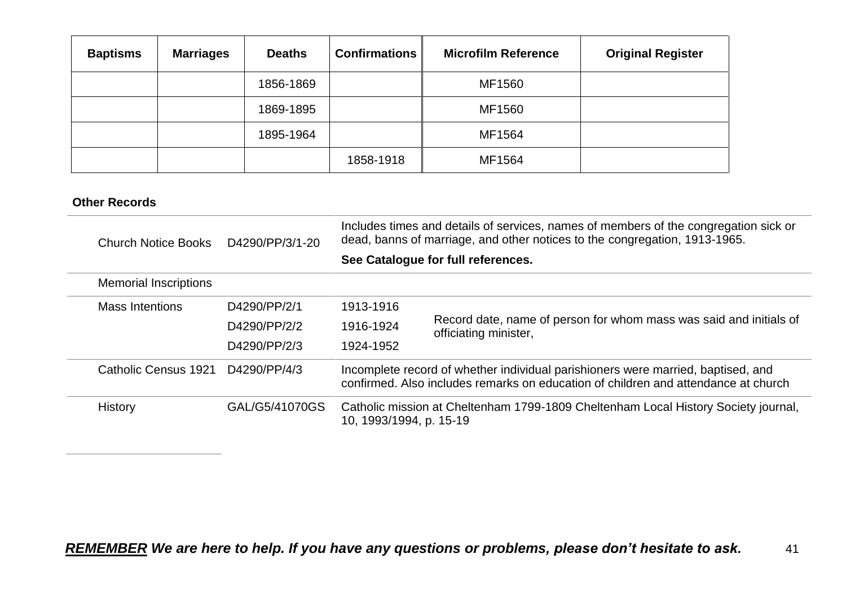| <b>Baptisms</b> | <b>Marriages</b> | <b>Deaths</b> | <b>Confirmations</b> | <b>Microfilm Reference</b> | <b>Original Register</b> |
|-----------------|------------------|---------------|----------------------|----------------------------|--------------------------|
|                 |                  | 1856-1869     |                      | MF1560                     |                          |
|                 |                  | 1869-1895     |                      | MF1560                     |                          |
|                 |                  | 1895-1964     |                      | MF1564                     |                          |
|                 |                  |               | 1858-1918            | MF1564                     |                          |

| <b>Church Notice Books</b>   | D4290/PP/3/1-20 | Includes times and details of services, names of members of the congregation sick or<br>dead, banns of marriage, and other notices to the congregation, 1913-1965.<br>See Catalogue for full references. |                                                                                             |  |
|------------------------------|-----------------|----------------------------------------------------------------------------------------------------------------------------------------------------------------------------------------------------------|---------------------------------------------------------------------------------------------|--|
|                              |                 |                                                                                                                                                                                                          |                                                                                             |  |
| <b>Memorial Inscriptions</b> |                 |                                                                                                                                                                                                          |                                                                                             |  |
| <b>Mass Intentions</b>       | D4290/PP/2/1    | 1913-1916                                                                                                                                                                                                |                                                                                             |  |
|                              | D4290/PP/2/2    | 1916-1924                                                                                                                                                                                                | Record date, name of person for whom mass was said and initials of<br>officiating minister, |  |
|                              | D4290/PP/2/3    | 1924-1952                                                                                                                                                                                                |                                                                                             |  |
| Catholic Census 1921         | D4290/PP/4/3    | Incomplete record of whether individual parishioners were married, baptised, and<br>confirmed. Also includes remarks on education of children and attendance at church                                   |                                                                                             |  |
| History                      | GAL/G5/41070GS  | Catholic mission at Cheltenham 1799-1809 Cheltenham Local History Society journal,<br>10, 1993/1994, p. 15-19                                                                                            |                                                                                             |  |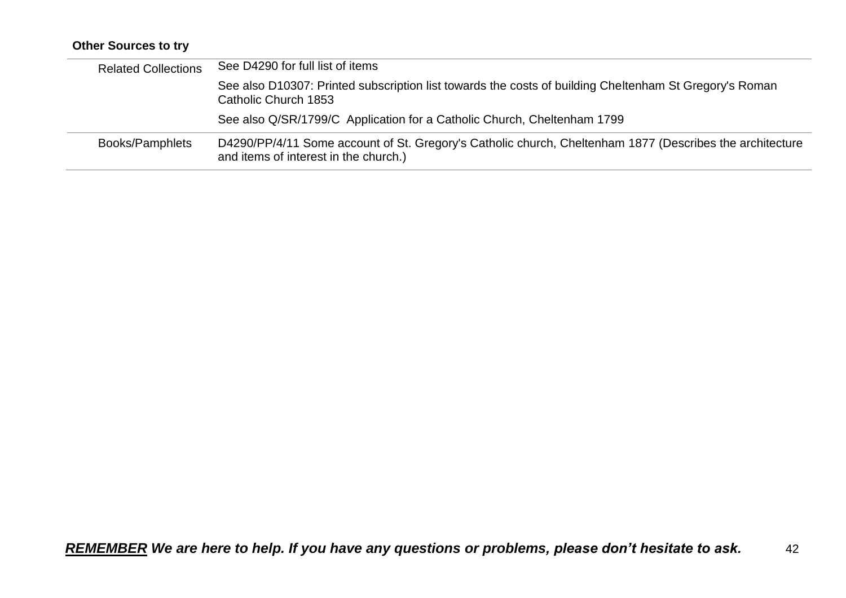## **Other Sources to try**

| <b>Related Collections</b> | See D4290 for full list of items                                                                                                                  |
|----------------------------|---------------------------------------------------------------------------------------------------------------------------------------------------|
|                            | See also D10307: Printed subscription list towards the costs of building Cheltenham St Gregory's Roman<br>Catholic Church 1853                    |
|                            | See also Q/SR/1799/C Application for a Catholic Church, Cheltenham 1799                                                                           |
| Books/Pamphlets            | D4290/PP/4/11 Some account of St. Gregory's Catholic church, Cheltenham 1877 (Describes the architecture<br>and items of interest in the church.) |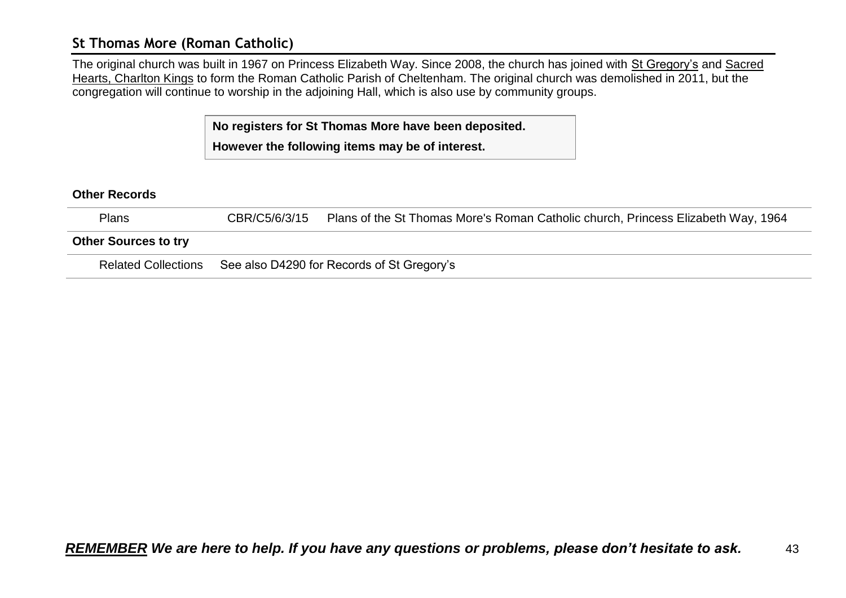### <span id="page-42-0"></span>**St Thomas More (Roman Catholic)**

The original church was built in 1967 on Princess Elizabeth Way. Since 2008, the church has joined with St Gregory's and Sacred Hearts, Charlton Kings to form the Roman Catholic Parish of Cheltenham. The original church was demolished in 2011, but the congregation will continue to worship in the adjoining Hall, which is also use by community groups.

> **No registers for St Thomas More have been deposited. However the following items may be of interest.**

| <b>Plans</b>                | CBR/C5/6/3/15 | Plans of the St Thomas More's Roman Catholic church, Princess Elizabeth Way, 1964 |
|-----------------------------|---------------|-----------------------------------------------------------------------------------|
| <b>Other Sources to try</b> |               |                                                                                   |
| <b>Related Collections</b>  |               | See also D4290 for Records of St Gregory's                                        |